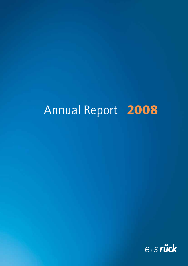# Annual Report **2008**

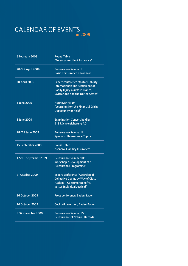## CALENDAR OF EVENTS in 2009

| 5 February 2009      | <b>Round Table</b><br>"Personal Accident Insurance"                                                                                                                  |
|----------------------|----------------------------------------------------------------------------------------------------------------------------------------------------------------------|
| 28/29 April 2009     | <b>Reinsurance Seminar I:</b><br><b>Basic Reinsurance Know-how</b>                                                                                                   |
| 30 April 2009        | <b>Expert conference "Motor Liability</b><br><b>International: The Settlement of</b><br><b>Bodily Injury Claims in France,</b><br>Switzerland and the United States" |
| 3 June 2009          | <b>Hannover Forum</b><br>"Learning from the Financial Crisis:<br><b>Opportunity or Risk?"</b>                                                                        |
| 3 June 2009          | <b>Examination Concert held by</b><br>E+S Rückversicherung AG                                                                                                        |
| 18/19 June 2009      | Reinsurance Seminar II:<br><b>Specialist Reinsurance Topics</b>                                                                                                      |
| 15 September 2009    | <b>Round Table</b><br>"General Liability Insurance"                                                                                                                  |
| 17/18 September 2009 | <b>Reinsurance Seminar III:</b><br>Workshop: "Development of a<br><b>Reinsurance Programme"</b>                                                                      |
| 21 October 2009      | <b>Expert conference "Assertion of</b><br><b>Collective Claims by Way of Class</b><br><b>Actions - Consumer Benefits</b><br>versus Individual Justice?"              |
| 26 October 2009      | Press conference, Baden-Baden                                                                                                                                        |
| 26 October 2009      | Cocktail reception, Baden-Baden                                                                                                                                      |
| 5/6 November 2009    | <b>Reinsurance Seminar IV:</b><br><b>Reinsurance of Natural Hazards</b>                                                                                              |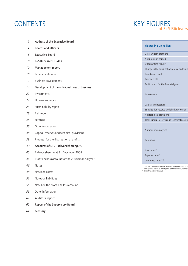## **CONTENTS**

- Address of the Executive Board
- Boards and officers
- Executive Board
- E+S Rück WebHUMan
- Management report
- Economic climate
- Business development
- Development of the individual lines of business
- Investments
- Human resources
- Sustainability report
- Risk report
- Forecast
- Other information
- Capital, reserves and technical provisions
- Proposal for the distribution of profits
- Accounts of E+S Rückversicherung AG
- Balance sheet as at 31 December 2008
- Profit and loss account for the 2008 financial year
- Notes
- Notes on assets
- Notes on liabilities
- Notes on the profit and loss account
- Other information
- Auditors' report
- Report of the Supervisory Board
- Glossary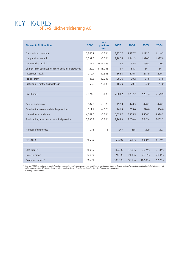## KEY FIGURES of E+S Rückversicherung AG

| <b>Figures in EUR million</b>                             | 2008    | $+/-$<br>previous<br>year | 2007    | 2006    | 2005    | 2004    |
|-----------------------------------------------------------|---------|---------------------------|---------|---------|---------|---------|
| Gross written premium                                     | 2,365.1 | $-0.2%$                   | 2,370.7 | 2,437.7 | 2,213.7 | 2,149.5 |
| Net premium earned                                        | 1,797.5 | $+1.0%$                   | 1,780.4 | 1,841.3 | 1,370.5 | 1,327.9 |
| Underwriting result <sup>1)</sup>                         | 37.2    | $+416.7%$                 | 7.2     | 35.5    | $-56.3$ | 40.3    |
| Change in the equalisation reserve and similar provisions | $-29.9$ | $+118.2%$                 | $-13.7$ | 84.3    | 86.1    | 86.1    |
| Investment result                                         | 210.7   | $-42.3%$                  | 365.3   | 276.5   | 277.9   | 229.1   |
| Pre-tax profit                                            | 148.3   | $-47.0%$                  | 280.0   | 100.2   | 31.8    | 87.5    |
| Profit or loss for the financial year                     | 52.0    | $-71.1%$                  | 180.0   | 70.4    | 22.0    | 44.0    |
|                                                           |         |                           |         |         |         |         |
| Investments                                               | 7,874.0 | $-1.4%$                   | 7,983.2 | 7,737.2 | 7,231.4 | 6,179.9 |
|                                                           |         |                           |         |         |         |         |
| Capital and reserves                                      | 507.3   | $+3.5%$                   | 490.3   | 420.3   | 420.3   | 420.3   |
| Equalisation reserve and similar provisions               | 711.4   | $-4.0%$                   | 741.3   | 755.0   | 670.6   | 584.6   |
| Net technical provisions                                  | 6,167.6 | $+2.2%$                   | 6,032.7 | 5,875.5 | 5,556.5 | 4,998.3 |
| Total capital, reserves and technical provisions          | 7,386.3 | $+1.7%$                   | 7,264.3 | 7,050.8 | 6,647.4 | 6,003.2 |
|                                                           |         |                           |         |         |         |         |
| Number of employees                                       | 255     | $+8$                      | 247     | 235     | 229     | 227     |
|                                                           |         |                           |         |         |         |         |
| Retention                                                 | 76.2 %  |                           | 75.3%   | 75.1%   | 62.4%   | 61.7%   |
|                                                           |         |                           |         |         |         |         |
| Loss ratio $1/2$                                          | 78.0%   |                           | 80.8%   | 74.8%   | 76.7%   | 71.3%   |
| Expense ratio <sup>2)</sup>                               | 22.4 %  |                           | 24.5 %  | 21.3%   | 26.1%   | 20.9%   |
| Combined ratio <sup>1)</sup> <sup>2)</sup>                | 100.4%  |                           | 105.3%  | 96.1%   | 102.8%  | 92.2%   |

<sup>1)</sup> from the 2006 financial year onwards the option of including special allocations to the provisions for outstanding claims in the non-technical account rather than the technical account will<br>no longer be exercised. The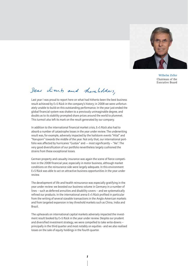

Wilhelm Zeller Chairman of the Executive Board



Last year I was proud to report here on what had hitherto been the best business result achieved by E+S Rück in the company's history; in 2008 we were unfortunately unable to build on this outstanding performance. In the year just-ended the global financial system was shaken to a previously unimaginable degree, and doubts as to its stability prompted share prices around the world to plummet. This turmoil also left its mark on the result generated by our company.

In addition to the international financial market crisis, E+S Rück also had to absorb a number of catastrophe losses in the year under review. The underwriting result was, for example, adversely impacted by the hailstorm events "Hilal" and "Naruporn" towards the middle of the year. Not only that, our international portfolio was affected by hurricanes "Gustav" and -– most significantly – "Ike". The very good diversification of our portfolio nevertheless largely cushioned the strains from these exceptional losses.

German property and casualty insurance was again the scene of fierce competition in the 2008 financial year, especially in motor business, although market conditions on the reinsurance side were largely adequate. In this environment E+S Rück was able to act on attractive business opportunities in the year under review.

The development of life and health reinsurance was especially gratifying in the year under review: we boosted our business volume in Germany in a number of lines – such as deferred annuities and disability covers – and we systematically refined our products. In the international arena E+S Rück profited in particular from the writing of several sizeable transactions in the Anglo-American markets and from targeted expansion in key threshold markets such as China, India and Brazil.

The upheavals on international capital markets adversely impacted the investment result booked by E+S Rück in the year under review. Despite our prudent and diversified investment strategy, we were compelled to take write-downs – principally in the third quarter and most notably on equities - and we also realised losses on the sale of equity holdings in the fourth quarter.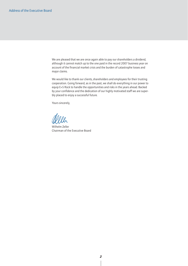We are pleased that we are once again able to pay our shareholders a dividend, although it cannot match up to the one paid in the record 2007 business year on account of the financial market crisis and the burden of catastrophe losses and major claims.

We would like to thank our clients, shareholders and employees for their trusting cooperation. Going forward, as in the past, we shall do everything in our power to equip E+S Rück to handle the opportunities and risks in the years ahead. Backed by your confidence and the dedication of our highly motivated staff we are superbly placed to enjoy a successful future.

Yours sincerely,

Wilhelm Zeller Chairman of the Executive Board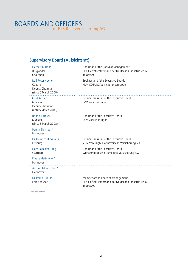## BOARDS AND OFFICERS of E+S Rückversicherung AG

## Supervisory Board (Aufsichtsrat)

| Herbert K. Haas<br>Burgwedel<br>Chairman                                      | Chairman of the Board of Management<br>HDI Haftpflichtverband der Deutschen Industrie V.a.G.<br>Talanx AG |  |
|-------------------------------------------------------------------------------|-----------------------------------------------------------------------------------------------------------|--|
| <b>Rolf-Peter Hoenen</b><br>Coburg<br>Deputy Chairman<br>(since 5 March 2008) | Spokesman of the Executive Boards<br>HUK-COBURG Versicherungsgruppe                                       |  |
| <b>Gerd Kettler</b><br>Münster<br>Deputy Chairman<br>(until 5 March 2008)     | Former Chairman of the Executive Board<br>LVM Versicherungen                                              |  |
| <b>Robert Baresel</b><br>Münster<br>(since 5 March 2008)                      | Chairman of the Executive Board<br>LVM Versicherungen                                                     |  |
| Benita Bierstedt*<br>Hannover                                                 |                                                                                                           |  |
| Dr. Heinrich Dickmann<br>Freiburg                                             | Former Chairman of the Executive Board<br>VHV Vereinigte Hannoversche Versicherung V.a.G.                 |  |
| Hans-Joachim Haug<br>Stuttgart                                                | Chairman of the Executive Board<br>Württembergische Gemeinde-Versicherung a.G.                            |  |
| Frauke Heitmüller*<br>Hannover                                                |                                                                                                           |  |
| Ass. jur. Tilman Hess*<br>Hannover                                            |                                                                                                           |  |
| Dr. Immo Querner<br>Ehlershausen                                              | Member of the Board of Management<br>HDI Haftpflichtverband der Deutschen Industrie V.a.G.<br>Talanx AG   |  |
|                                                                               |                                                                                                           |  |

\*Staff representative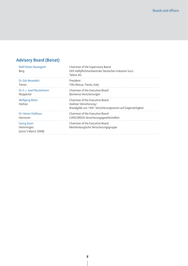## Advisory Board (Beirat)

| Dr. Edo Benedetti<br>President<br>Trento<br>ITAS Mutua, Trento, Italy                                                                                         |  |
|---------------------------------------------------------------------------------------------------------------------------------------------------------------|--|
|                                                                                                                                                               |  |
| Dr. h. c. Josef Beutelmann<br>Chairman of the Executive Board<br>Barmenia Versicherungen<br>Wuppertal                                                         |  |
| Chairman of the Executive Board<br><b>Wolfgang Bitter</b><br>Itzehoe<br>Itzehoer Versicherung/<br>Brandgilde von 1691 Versicherungsverein auf Gegenseitigkeit |  |
| Dr. Heiner Feldhaus<br>Chairman of the Executive Board<br>CONCORDIA Versicherungsgesellschaften<br>Hannover                                                   |  |
| Chairman of the Executive Board<br><b>Georg Zaum</b><br>Hemmingen<br>Mecklenburgische Versicherungsgruppe<br>(since 5 March 2008)                             |  |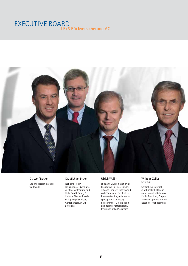## EXECUTIVE BOARD of E+S Rückversicherung AG



#### Dr. Wolf Becke

Life and Health markets worldwide

#### Dr. Michael Pickel

Non-Life Treaty Reinsurance – Germany, Austria, Switzerland and Italy; Credit, Surety & Political Risk worldwide; Group Legal Services, Compliance; Run Off **Solutions** 

#### Ulrich Wallin

Specialty Division (worldwide Facultative Business in Casualty and Property Lines; worldwide Treaty and Facultative Business Marine, Aviation and Space); Non-Life Treaty Reinsurance – Great Britain and Ireland; Retrocessions, Insurance-linked Securities

#### Wilhelm Zeller Chairman

Controlling, Internal Auditing; Risk Management; Investor Relations, Public Relations; Corporate Development; Human Resources Management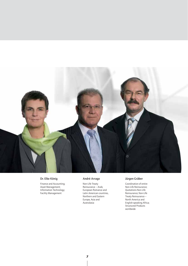

#### Dr. Elke König

Finance and Accounting; Asset Management; Information Technology; Facility Management

#### André Arrago

Non-Life Treaty Reinsurance – Arab, European Romance and Latin American countries, Northern and Eastern Europe, Asia and Australasia

#### Jürgen Gräber

Coordination of entire Non-Life Reinsurance; Quotations Non-Life Reinsurance; Non-Life Treaty Reinsurance – North America and English-speaking Africa; Structured Products worldwide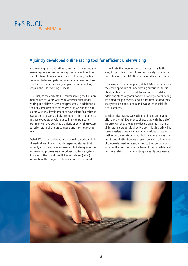

## A jointly developed online rating tool for efficient underwriting

Not avoiding risks, but rather correctly documenting and assessing them – this maxim captures in a nutshell the complex task of an insurance expert. After all, the first prerequisite for competitive prices is reliable rating bases which also comprehensively map all decision-making steps in the underwriting process.

E+S Rück, as the dedicated reinsurer serving the German market, has for years worked to optimise such underwriting and claims assessment processes. In addition to the daily assessment of extensive risks, we support our clients with the development of new, scientifically based evaluation tools and solidly grounded rating guidelines. In close cooperation with our ceding companies, for example, we have designed a unique underwriting system based on state-of-the-art software and Internet technology.

WebHUMan is an online rating manual compiled in light of medical insights and highly respected studies that not only assists with risk assessment but also guides the entire rating process. As a Web-based software system, it draws on the World Health Organization's (WHO) internationally recognised classification of diseases (ICD)

to facilitate the underwriting of medical risks. In this way, it is possible to quickly and accurately underwrite and rate more than 10,000 diseases and health problems.

From a conceptual standpoint, WebHUMan encompasses the entire spectrum of underwriting criteria in life, disability, critical illness/dread disease, accidental death riders and strict "any occupation" disability covers. Along with medical, job-specific and leisure-time-related risks, the system also documents and evaluates special life circumstances.

So what advantages can such an online rating manual offer our clients? Experience shows that with the aid of WebHUMan they are able to decide on almost 80% of all insurance proposals directly upon initial scrutiny. The system assists users with recommendations to request further documentation or highlights circumstances that merit special attention. As a result, only a small number of proposals need to be submitted to the company physician or the reinsurer. On the basis of the stored data all decisions relating to underwriting are easily documented.

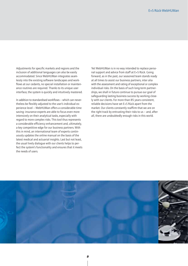Adjustments for specific markets and regions and the inclusion of additional languages can also be easily accommodated. Since WebHUMan integrates seamlessly into the existing software landscapes and workflows at our cedants, no special installation or maintenance routines are required. Thanks to its unique user interface, the system is quickly and intuitively mastered.

In addition to standardised workflows – which can nevertheless be flexibly adjusted to the user's individual experience level – WebHUMan offers a considerable time saving: insurance experts are able to focus even more intensively on their analytical tasks, especially with regard to more complex risks. This tool thus represents a considerable efficiency enhancement and, ultimately, a key competitive edge for our business partners. With this in mind, an international team of experts continuously updates the online manual on the basis of the latest medical and actuarial insights. Last but not least, the usual lively dialogue with our clients helps to perfect the system's functionality and ensures that it meets the needs of users.

Yet WebHUMan is in no way intended to replace personal support and advice from staff at E+S Rück. Going forward, as in the past, our seasoned team stands ready at all times to assist our business partners, inter alia with the assessment and rating of exceptional or complex individual risks. On the basis of such long-term partnerships, we shall in future continue to pursue our goal of safeguarding lasting business success by working closely with our clients. For more than 85 years consistent, reliable decisions have set E+S Rück apart from the market. Our clients constantly reaffirm that we are on the right track by entrusting their risks to us – and, after all, there are undoubtedly enough risks in this world.

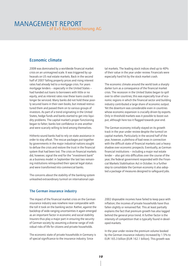## MANAGEMENT REPORT of E+S Rückversicherung AG

### Economic climate

2008 was dominated by a worldwide financial market crisis on an unimagined scale. It was triggered by upheavals on US real estate markets. Back in the second half of 2007 falling property prices and rising interest rates had already led to a mortgage crisis. For years mortgage lenders – especially in the United States – had handed out loans to borrowers with little or no equity, and as interest rates rose these loans could no longer be serviced. Many banks did not hold these poorly secured loans in their own books, but instead restructured them and passed them on to various groups of investors. As part of a trend originating in the United States, hedge funds and banks started to get into liquidity problems. The capital market's proper functioning began to falter; banks lost confidence in one another and were scarcely willing to lend among themselves.

Hitherto sound banks had to rely on state assistance in order to stay afloat. The rescue packages put together by governments in the major industrial nations sought to defuse the crisis and restore the trust in the financial system that had been lost. The crisis on financial markets did, however, signal the end for the "investment bank" as a business model: in September the last two remaining institutions relinquished their special legal status and were transformed into commercial banks.

The concerns about the stability of the banking system unleashed extraordinary turmoil on international capi-

The German insurance industry

The impact of the financial market crisis on the German insurance industry was nowhere near comparable with the toll it took on the banking sector. Rather, against the backdrop of wide-ranging uncertainties it again emerged as an important factor in economic and social stability. Insurers thus play a major part in ensuring the security of German society by assuming a diverse range of individual risks of life for citizens and private households.

The economic state of private households in Germany is of special significance to the insurance industry. Since

tal markets. The leading stock indices shed up to 40% of their value in the year under review. Financials were especially hard hit by the stock market crash.

The economic climate around the world took a sharply darker turn as a consequence of the financial market crisis. The recession in the United States began to spill over to other countries; this was especially true of economic regions in which the financial sector and building industry contributed a large share of economic output. Yet the downturn was considerable even in countries whose economic expansion is crucially driven by exports. Only in threshold markets was it possible to boost output, although here too it flagged towards year-end.

The German economy initially stayed on its growth track in the year under review despite the turmoil on capital markets. Particularly in the second half of the year, however, a plethora of bad news in connection with the difficult state of financial markets cast a heavy shadow over economic prospects. Eventually, as German financial institutions – including a major real estate lender – also got into difficulties over the course of the year, the federal government responded with the Financial Markets Stabilisation Act in October. In a further step to consolidate the German economy it also adopted a package of measures designed to safeguard jobs.

2002 disposable incomes have failed to keep pace with inflation; the incomes of private households have thus fallen slightly or remained flat. This at least partially explains the fact that premium growth has also lagged behind the general price trend. A further factor is the intensity of competition that is typically found in developed markets.

In the year under review the premium volume booked by the German insurance industry increased by 1.5% to EUR 165.3 billion (EUR 162.1 billion). This growth was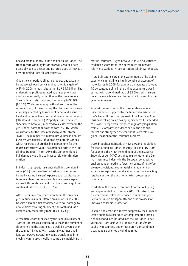booked predominantly in life and health insurance. The trend towards annuity insurance was sustained here, especially due to the continuing large share of new business stemming from Riester contracts.

Given the competitive climate, property and casualty insurance achieved only a minimal premium gain of 0.4% in 2008 to reach altogether EUR 54.7 billion. The underwriting profit generated by this segment was also only marginally higher than in the previous year. The combined ratio improved fractionally to 95.0% (95.7%). While premium growth suffered under the recent cooling of the economy, the claims situation was adversely affected by hurricane "Emma" and a series of local and regional hailstorms and severe rainfall events ("Hilal" and "Naruporn"). Property insurers' balance sheets were, however, impacted to a lesser extent in the year under review than was the case in 2007, which was notable for the losses caused by winter storm "Kyrill". The minimal rise in premium volume in non-life business was crucially influenced by motor insurance, which recorded a sharp decline in premiums for the fourth consecutive year. The combined ratio in this line climbed from 98.1% to 103%; the aforementioned hail damage was principally responsible for this deterioration.

In industrial property insurance declining premium income (-5%) continued to contrast with rising sums insured, causing insurers' exposure to grow disproportionately. Here, too, considerable strains were again incurred; this is also evident from the worsening of the combined ratio to 97.0% (91.3%).

After premium income had been flat in the previous year, marine insurers suffered erosion of 1% in 2008. Despite a major claim associated with hail damage to new vehicles awaiting shipment, the combined ratio climbed only moderately to 93.0% (91.2%).

A research report published by the Federal Ministry of Transport forecasts a considerable rise in the number of shipments and the distances that will be covered over the coming 15 years. With roads, railway lines and inland waterways increasingly being transformed into moving warehouses, mobile risks are also multiplying in

marine insurance. As yet, however, there is no statistical evidence as to whether this constitutes an increase relative to stationary transportation risks in warehouses.

In credit insurance premiums were sluggish. The claims experience in this line is highly volatile on account of major losses. In 2008, for example, an increase of around 10 percentage points in the claims expenditure was incurred. With a combined ratio of 82.0% credit insurers nevertheless achieved another satisfactory result in the year under review.

Against the backdrop of the considerable economic uncertainties – triggered by the financial market crisis – the Solvency II Directive Proposal of the European Commission is taking on increasing significance: it is intended to provide Europe with risk-based regulatory legislation from 2012 onwards in order to secure the financial market and strengthen the continent's own role as a global location for the insurance business.

2008 brought a multitude of new laws and regulations for the German insurance industry. On 1 January 2008, for example, the Ninth Amendment of the Insurance Supervision Act (VAG) designed to strengthen the German insurance industry in the European competitive environment entered into force. Key points of this reform are new provisions governing risk management at insurance enterprises: inter alia, it imposes more exacting requirements on the decision-making processes at companies.

In addition, the revised Insurance Contract Act (VVG) was implemented on 1 January 2008. This structures the contractual relations between insurers and policyholders more transparently and thus provides for improved consumer protection.

Last but not least, the directive adopted by the European Union on finite reinsurance was implemented into national law and incorporated into the Insurance Supervision Act. Contracts with a limited risk transfer are explicitly recognised under these provisions and their treatment is governed by binding rules.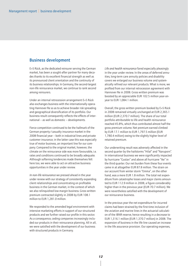#### Business development

E+S Rück, as the dedicated reinsurer serving the German market, has been a sought-after partner for many decades thanks to its excellent financial strength as well as its pronounced client orientation and the continuity of its business relationships. In Germany, the second-largest non-life reinsurance market, we continue to rank second among reinsurers.

Under an internal retrocession arrangement E+S Rück also exchanges business with the internationally operating Hannover Re so as to achieve broader risk spreading and geographical diversification of its portfolio. Our business result consequently reflects the effects of international – as well as domestic – developments.

Fierce competition continued to be the hallmark of the German property/casualty insurance market in the 2008 financial year – both in industrial lines and private customer insurance; in the latter case this was especially true of motor business, an important line for our company. Compared to the original market, however, the climate on the reinsurance side was more favourable, i.e. rates and conditions continued to be broadly adequate. Although softening tendencies made themselves felt here too, we were able to act on attractive business opportunities in the year under review.

*In non-life reinsurance* we pressed ahead in the year under review with our strategy of consistently expanding client relationships and concentrating on profitable business in the German market, in the context of which we also relinquished low-margin business. Gross written premium contracted slightly in 2008 by EUR 108.1 million to EUR 1,281.0 million.

We responded to the amended legal environment with intensive marketing efforts in support of our structured products and we further raised our profile in this sector. As a consequence, ceding companies increasingly included our products in their reinsurance planning. All in all, we were satisfied with the development of our business with structured products in Germany.

*Life and health reinsurance* fared especially pleasingly in the year under review. In the areas of deferred annuities, long-term care annuity policies and disability covers we enlarged our business volume and systematically refined our relevant products. What is more, we profited from our internal retrocession agreement with Hannover Re in 2008. Gross written premium was boosted by an appreciable EUR 102.5 million year-onyear to EUR 1,084.1 million.

Overall, the gross written premium booked by E+S Rück in 2008 remained virtually unchanged at EUR 2,365.1 million (EUR 2,370.7 million). The share of our total portfolio attributable to life and health reinsurance reached 45.8%, which thus contributed almost half the gross premium volume. Net premium earned climbed by EUR 17.1 million to EUR 1,797.5 million (EUR 1,780.4 million) owing to the slightly higher level of retained premium.

Our underwriting result was adversely affected in the second quarter by the hailstorms "Hilal" and "Naruporn". In international business we were significantly impacted by hurricane "Gustav" and above all hurricane "Ike" in the third quarter. Our net burden from these four events came in at altogether EUR 87.8 million. The strain on our account from winter storm "Emma", on the other hand, was a mere EUR 1.8 million. The total net expenditure from catastrophe losses and major claims amounted to EUR 112.9 million in 2008, a figure considerably higher than in the previous year (EUR 70.7 million). We were nevertheless satisfied with the development of our reinsurance business.

In the previous year the net expenditure for incurred claims had been strained by the first-time inclusion of the aviation and marine lines in the actuarial calculation of the IBNR reserve, hence resulting in a decrease to EUR 1,316.1 million (EUR 1,370.7 million) in 2008. The expansion of business in the life line caused an increase in the life assurance provision. Our operating expenses,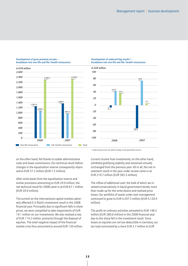

#### Development of gross premium income – breakdown into non-life and life/health reinsurance





*\* Underwriting result: net, before change in the equalisation reserve*

on the other hand, fell thanks to stable administrative costs and lower commissions. Our technical result before changes in the equalisation reserve consequently improved to EUR 37.2 million (EUR 7.2 million).

After write-backs from the equalisation reserve and similar provisions amounting to EUR 29.9 million, the net technical result for 2008 came in at EUR 67.1 million (EUR 20.9 million).

The turmoil on the international capital markets adversely affected E+S Rück's investment result in the 2008 financial year. Principally due to significant falls in share prices, we were compelled to take impairments of EUR 19.1 million on our investments. We also realised a loss of EUR 114.2 million, primarily through the disposal of equities. The total negative impact of the financial market crisis thus amounted to around EUR 130 million.

Current income from investments, on the other hand, exhibited gratifying stability and remained virtually unchanged from the previous year. All in all, the net investment result in the year under review came in at EUR 210.7 million (EUR 365.3 million).

The inflow of additional cash, the bulk of which we invested conservatively in liquid government bonds, more than made up for the write-downs and realised price losses. Our portfolio of assets under own management continued to grow to EUR 4,297.5 million (EUR 4,120.4 million).

The profit on ordinary activities retreated to EUR 148.3 million (EUR 280.0 million) in the 2008 financial year due to the sharp fall in the investment result. Since losses on equities are not tax-deductible in Germany, our tax load contracted by a mere EUR 3.7 million to EUR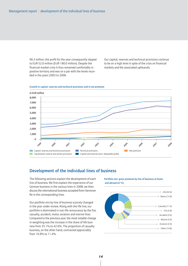96.3 million; the profit for the year consequently slipped to EUR 52.0 million (EUR 180.0 million). Despite the financial market crisis it thus remained comfortably in positive territory and was on a par with the levels recorded in the years 2003 to 2006.

Our capital, reserves and technical provisions continue to be on a high level in spite of the crisis on financial markets and the associated upheavals.



#### Growth in capital, reserves and technical provisions and in net premium

#### Development of the individual lines of business

The following sections explain the development of each line of business. We first explain the experience of our German business in the various lines in 2008; we then discuss the international business accepted from Hannover Re in the corresponding lines.

Our portfolio mix by line of business scarcely changed in the year under review. Along with the life line, our portfolio is dominated in non-life reinsurance by the fire, casualty, accident, motor, aviation and marine lines. Compared to the previous year, the most notable change in weighting was the increase in the share of life business from 35.1% to 42.6%. The proportion of casualty business, on the other hand, contracted appreciably from 16.9% to 11.4%.

Portfolio mix: gross premium by line of business at home and abroad (in %)

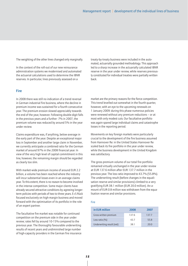The weighting of the other lines changed only marginally.

In the context of the roll-out of our new reinsurance administration systems we modernised and automated the actuarial calculations used to determine the IBNR reserves. In particular, lines previously assessed on a

#### Fire

In 2008 there was still no indication of a trend reversal in German industrial fire business, where the decline in premium income was sustained for a fourth consecutive year. The premium erosion slowed appreciably towards the end of the year, however. Following double-digit falls in the previous years and a further -7% in 2007, the premium volume was reduced by around 5% in the year under review.

Claims expenditure was, if anything, below-average in the early part of the year. Despite an exceptional major loss in September and another large claim in November, we currently anticipate a combined ratio for the German market of around 97% in the 2008 financial year. In view of the very high level of capital commitment in this line, however, the remaining margin should be regarded as clearly too slim.

With market-wide premium income of around EUR 2.2 billion, a volume has been reached where the industry will incur substantial losses even in an average claims year. To this extent, there is no reason to become involved in the intense competition. Some major clients have already secured attractive conditions by agreeing longerterm policies with periods of two to three years. E+S Rück focused exclusively on high-margin business and moved forward with the optimisation of its portfolio in the role of an expert partner.

The facultative fire market was notable for continued competition on the premium side in the year under review; rates fell by around 10-15% compared to the previous year. The thoroughly favourable underwriting results of recent years and undiminished large number of high-capacity providers in the German fire insurance treaty-by-treaty business were included in the automated, actuarially grounded methodology. This approach led to a sharp increase in the actuarially calculated IBNR reserve in the year under review, while reserves previously constituted for individual treaties were partially written back.

market are the primary reasons for the fierce competition. This trend levelled out somewhat in the fourth quarter, however, with an eye to the upcoming renewals on 1 January 2009: during this phase numerous policies were renewed without any premium reductions – or at most with only modest cuts. Our facultative portfolio was again spared large individual claims and catastrophe losses in the reporting period.

Movements on key foreign markets were particularly crucial to the development of the fire business assumed from Hannover Re: in the United States Hannover Re scaled back its fire portfolio in the year under review, while the business development in the United Kingdom was satisfactory.

The gross premium volume of our total fire portfolio remained virtually unchanged in the year under review at EUR 137.6 million after EUR 137.7 million in the previous year. The loss ratio improved to 43.7% (55.8%). The underwriting result (before changes in the equalisation reserve and similar provisions) climbed to a very gratifying EUR 38.1 million (EUR 20.0 million). An amount of EUR 0.8 million was withdrawn from the equalisation reserve and similar provisions.

#### Fire

| in EUR million            | 2008  | 2007  |
|---------------------------|-------|-------|
| Gross written premium     | 137.6 | 137.7 |
| Loss ratio $(% )$         | 43.7  | 55.8  |
| Underwriting result (net) | 38.1  | 20.0  |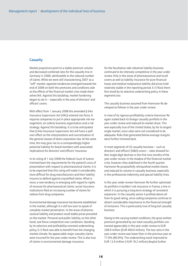#### **Casualty**

Market projections point to a stable premium volume and decreased combined ratio for the casualty line in Germany in 2008, attributable to the reduced number of claims. While we were still characterising 2007 as a "soft" market, opposite tendencies emerged towards the end of 2008 on both the premiums and conditions side as the effects of the financial market crisis made themselves felt. Against this backdrop, market hardening began to set in – especially in the area of directors' and officers' covers.

With effect from 1 January 2008 the amended § 64a Insurance Supervision Act (VAG) entered into force. It requires companies to put in place appropriate risk management, an orderly business organisation and a risk strategy. Against this backdrop, it is to be anticipated that § 64a Insurance Supervision Act will have a spillover effect on the interpretation and concretisation of the general clauses of stock corporation law. At the same time, this may give rise to a correspondingly higher potential liability for board members with associated implications for directors' and officers' insurance.

In its ruling of 1 July 2008 the Federal Court of Justice trimmed back the requirements for the patient's onus of presentation with respect to pharmaceutical claims. It is to be expected that this ruling will make it considerably more difficult for drug manufacturers and their liability insurers to defend against unjustified claims. What is more, a new tendency is emerging with regard to rights of recourse for pharmaceutical claims: social insurance institutions filed an increasing number of claims for redress from drug companies.

Environmental damage insurance has become established in the market, although it is still too soon to speak of complete market penetration. In the areas of pharmaceutical liability and product recall stable prices prevailed on the market. Personal and public liability, on the other hand, saw fierce competition over conditions. Standing by its selective and profitability-oriented underwriting policy, E+S Rück was able to benefit from the changing market climate. No appreciable major casualty claims were incurred for the year under review. This is also true of claims in environmental damage insurance.

On the facultative side industrial liability business continued to be intensely competitive in the year under review. Only in the areas of pharmaceutical and recall covers as well as liability insurance for pure financial losses and medical malpractice liability did prices hold relatively stable in the reporting period. E+S Rück therefore stood by its selective underwriting policy in these segments too.

The casualty business assumed from Hannover Re developed as follows in the year under review:

In view of its rigorous profitability criteria Hannover Re again scaled back its foreign casualty portfolio in the year under review and reduced its market share. This was especially true of the United States, by far its largest single market, since rates were not considered to be adequate. Risks that generated below-average margins were further trimmed back.

In most segments of US casualty business – such as directors' and officers' (D&O) covers – rates showed further single-digit declines in the first nine months of the year under review. In the shadow of the financial market crisis, however, they stabilised in the fourth quarter. Hannover Re purposefully relinquished market shares and reduced its volume in casualty business, especially in the professional indemnity and special liability lines.

In the year under review Hannover Re further optimised its portfolio in builder's risk insurance in France, a line in which it is pursuing a long-term strategy of consistent expansion. In the casualty sector it profited above all from its good rating, since ceding companies continue to attach considerable importance to the financial strength of reinsurers. This is particularly true of long-tail casualty business.

Owing to the varying market conditions, the gross written premium generated by our total casualty portfolio contracted appreciably in the year under review to EUR 268.9 million (EUR 400.0 million). The loss ratio in the year under review was lower than in the previous year at 77.0% (80.9%). The underwriting result improved to EUR 12.6 million (-EUR 18.2 million) despite further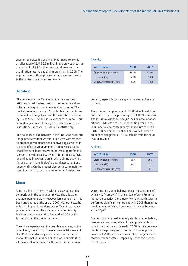substantial bolstering of the IBNR reserves. Following Casualty an allocation of EUR 30.3 million in the previous year, an amount of EUR 38.2 million was withdrawn from the equalisation reserve and similar provisions in 2008. The required level of these provisions had decreased owing to the contraction in business volume.

#### Accident

The development of German accident insurance in 2008 – against the backdrop of positive technical results in the original market – was again positive. The market premium grew by 1% while claims expenditure remained unchanged, causing the loss ratio to improve by 1% to 56%. The business experience in France – our second-largest market through the assumption of business from Hannover Re – was also satisfactory.

The hallmark of our activities in this line is the excellent range of services that we offer our clients with respect to product development and underwriting as well as in the area of claims management. Along with detailed checklists our clients receive extensive support for decisions on individual cases as well as for claim classification and handling; we also assist with training activities for personnel in the fields of proposal assessment and underwriting. On the product side, our focus remains on combined personal accident annuities and assistance

#### **Motor**

Motor business in Germany witnessed sustained price competition in the year under review; the effects on average premiums were, however, less marked than had been anticipated at the end of 2007. Nevertheless, the reduction in premiums alone was sufficient to produce poorer technical results, although in motor liability business these were again alleviated in 2008 by the further drop in the claims frequency.

The claims experience in the own damage lines, on the other hand, was striking: the extensive hailstorm event "Hilal" at the end of May and in early June caused a market loss of EUR 450 million; this was equivalent to a loss ratio of more than 6%. Nor were the subsequent

| in EUR million            | 2008  | 2007   |
|---------------------------|-------|--------|
| Gross written premium     | 268.9 | 400.0  |
| Loss ratio $(\% )$        | 77 O  | 80.9   |
| Underwriting result (net) | 12.6  | $-182$ |

benefits, especially with an eye to the needs of senior citizens.

The gross written premium of EUR 86.4 million did not quite match up to the previous year (EUR 89.6 million). The loss ratio rose to 86.5% (47.5%) on account of additional IBNR reserves. The underwriting result in the year under review consequently slipped into the red at -EUR 13.0 million (EUR 6.9 million). We withdrew an amount of altogether EUR 16.0 million from the equalisation reserve.

#### Accident

| in EUR million            | 2008    | 2007 |
|---------------------------|---------|------|
| Gross written premium     | 86,4    | 89.6 |
| Loss ratio $(%)$          | 86.5    | 47.5 |
| Underwriting result (net) | $-13.0$ | 6.9  |

weeks entirely spared hail events, the most notable of which was "Naruporn" in the middle of June. From the market perspective, then, motor own damage insurance performed significantly more poorly in 2008 than in the previous year, which had been overshadowed by winter storm "Kyrill".

Our portfolio remained relatively stable in motor liability insurance as a consequence of the improvements in conditions that were obtained in 2008 despite developments in the primary sector. In the own damage lines, however, E+S Rück took a considerable charge from the aforementioned losses – especially under non-proportional covers.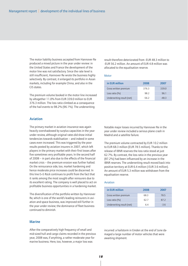The motor liability business accepted from Hannover Re produced a mixed picture in the year under review: in the United States and France the development of the motor line was not satisfactory. Since the rate level is still insufficient, Hannover Re wrote the business highly selectively. By contrast, it enlarged its portfolio in Asian markets, including for example China, and also in the CIS states.

The premium volume booked in the motor line increased by altogether 11.0% from EUR 339.0 million to EUR 376.3 million. The loss ratio climbed as a consequence of the hail events to 98.2% (96.1%). The underwriting

#### Aviation

The primary market in aviation insurance was again heavily overshadowed by surplus capacities in the year under review, although original rates did show initial tendencies towards stabilisation – and indeed in some cases even increased. This was triggered by the poor results posted by aviation insurers in 2007, which left players in the primary market with their first losses after five sometimes very profitable years. In the second half of 2008 – in part also due to the effects of the financial market crisis – the premium erosion was further halted. On the reinsurance side, too, market hardening and hence moderate price increases could be discerned. In this line E+S Rück continues to profit from the fact that it ranks among the most sought-after reinsurers due to its excellent rating. The company is well placed to act on profitable business opportunities in a hardening market.

The diversification of the portfolio written by Hannover Re, which is one of the world's leading reinsurers in aviation and space business, was improved still further in the year under review; the dominance of fleet business continued to diminish.

#### Marine

After the comparatively high frequency of small and mid-sized hull and cargo claims recorded in the previous year, 2008 was, if anything, a rather moderate year for marine business. Here, too, however, a major loss was

result therefore deteriorated from -EUR 48.3 million to -EUR 56.2 million. An amount of EUR 4.8 million was allocated to the equalisation reserve.

#### Motor

| in EUR million            | 2008  | 2007   |
|---------------------------|-------|--------|
| Gross written premium     | 376.3 | 339.0  |
| Loss ratio $(%$           | 98.2  | 961    |
| Underwriting result (net) | -562  | $-483$ |

Notable major losses incurred by Hannover Re in the year under review included a serious plane crash in Madrid and a satellite failure.

The premium volume contracted by EUR 10.2 million to EUR 68.3 million (EUR 78.5 million). Thanks to the release of IBNR reserves the loss ratio stood at just 62.7%. By contrast, the loss ratio in the previous year (87.2%) had been influenced by an increase in the IBNR reserves. The underwriting result moved back into positive territory at EUR 6.4 million (-EUR 3.6 million). An amount of EUR 5.3 million was withdrawn from the equalisation reserve.

#### Aviation

| in EUR million            | 2008 | 2007  |
|---------------------------|------|-------|
| Gross written premium     | 68.3 | 78.5  |
| Loss ratio $(%$           | 62.7 | 87.2  |
| Underwriting result (net) | 64   | $-36$ |

incurred: a hailstorm in Emden at the end of June damaged a large number of motor vehicles that were awaiting shipment.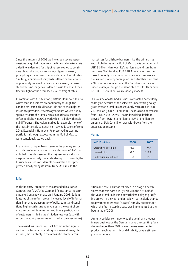Since the autumn of 2008 we have seen severe repercussions on global trade from the financial market crisis: a decline in demand for shipping services led to considerable surplus capacities for most types of vessel, prompting a sometimes dramatic slump in freight rates. Similarly, a number of shipyards suffered cancellations of previously received orders for new vessels, because shipowners no longer considered it wise to expand their fleets in light of the decreased level of freight rates.

In common with the aviation portfolio Hannover Re also writes marine business predominantly through the London Market; in this line too it is one of the major reinsurance providers. After two years that were virtually spared catastrophe losses, rates in marine reinsurance softened slightly in 2008 worldwide – albeit with regional differences. The Asian market, for example – one of the most intensely competitive – saw reductions of some 20%. Essentially, Hannover Re preserved its existing portfolio - although exposures in the Gulf of Mexico were consciously scaled back.

In addition to higher basic losses in the primary sector in offshore/energy business, it was hurricane "Ike" that inflicted sizeable losses on the (re)insurance industry: despite the relatively moderate strength of its winds, the hurricane caused considerable devastation as it progressed slowly along its storm track. As a result, the

#### Life

With the entry into force of the amended Insurance Contract Act (VVG), the German life insurance industry embarked on a new phase on 1 January 2008. Salient features of the reform are an increased level of information, improved transparency of policy terms and conditions, higher cash surrender values in the event of premature contract termination and timely participation of customers in life insurers' hidden reserves (e.g. with respect to equity securities and fixed-income securities).

The revised Insurance Contract Act prompted significant restructuring in operating processes at many life insurers, most notably in the areas of customer acquimarket loss for offshore business – i.e. the drilling rigs and oil platforms in the Gulf of Mexico – is put at around USD 3 billion. Hannover Re's net loss expenditure from hurricane "Ike" totalled EUR 198.4 million and encompassed not only offshore but also onshore business, i.e. the insured property damage on land. Another hurricane – "Gustav" – was incurred in the Caribbean in the year under review, although the associated cost for Hannover Re (EUR 15.2 million) was relatively modest.

Our volume of assumed business contracted particularly sharply on account of the selective underwriting policy; gross written premium consequently retreated to EUR 71.8 million (EUR 74.4 million). The loss ratio decreased from 118.9% to 92.6%. The underwriting deficit improved from -EUR 15.8 million to -EUR 3.4 million. An amount of EUR 0.4 million was withdrawn from the equalisation reserve.

#### Marine

| in EUR million            | 2008  | 2007   |
|---------------------------|-------|--------|
| Gross written premium     | 71.8  | 744    |
| Loss ratio $(% )$         | 92.6  | 118.9  |
| Underwriting result (net) | $-34$ | $-158$ |

sition and care. This was reflected in a drag on new business that was particularly visible in the first half of the year. Premium income nevertheless enjoyed gratifying growth in the year under review - particularly thanks to government-assisted "Riester" annuity products, for which the fourth step increase was implemented at the beginning of 2008.

Annuity policies continue to be the dominant product in new business on the German market, accounting for a share of more than 60%. Nevertheless, risk-oriented products such as term life and disability covers still enjoy brisk demand.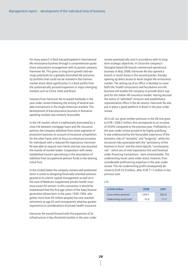For many years E+S Rück has participated in international life reinsurance business through a comprehensive quota share retrocession arrangement with its parent company Hannover Re. This gives us long-term growth and earnings potentials for a globally diversified life and annuity portfolio that could not be realised in the German market alone. Most significantly, E+S Rück profits from the systematically pursued expansion in major emerging markets such as China, India and Brazil.

Cessions from Hannover Re increased markedly in the year under review following the writing of several sizeable transactions in the Anglo-American markets. The development of bancassurance business in Romancespeaking markets was similarly favourable.

In the UK market, which is traditionally dominated by a close link between mortgage loans and life insurance policies, the company withdrew from some segments of protection business on account of excessive competition. On the other hand, with its focus on enhanced annuities for individuals with a reduced life expectancy Hannover Re was able to acquire new clients and has now assumed the mantle of market leader. Cooperation with newly established insurers specialising in the assumption of liabilities from occupational pension funds is also bearing initial fruit.

In the United States the company remains well positioned when it comes to designing financially oriented solutions geared to its clients' capital management as well as in the area of Medicare Supplement private health insurance covers for seniors. In this connection it should be emphasised that the first age cohort of the baby boomer generation (those born in the years 1946-1964, altogether more than 95 million people) has now reached retirement at age 62 and consequently attaches greater importance to considerations of private health insurance.

Hannover Re moved forward with the expansion of its infrastructure in key threshold markets in the year under

review systematically and in accordance with its longterm strategic objectives. In China the company's Shanghai-based life branch commenced operational business in May 2008; Hannover Re also opened a branch in South Korea in the second quarter, thereby opening up direct access to Asia's largest life reinsurance market. The setting up of an office in Mumbai to cover both life/health reinsurance and facultative non-life business will enable the company to provide direct support for the Indian life insurance market. Having secured the status of "admitted" reinsurer and established a representative office in Rio de Janeiro, Hannover Re also put in place a good platform in Brazil in the year under review.

All in all, our gross written premium in the life line grew to EUR 1,006.5 million; this corresponds to an increase of 20.8% compared to the previous year. Profitability in the year under review proved to be highly gratifying. It was underscored by the favourable experience of the biometric risks of "mortality" and "longevity", while the structural risks associated with the "persistency of the business in force" and the client-specific "counterparty risk" - which are of vital importance first and foremost under financing transactions - were unremarkable. The underwriting result came under strain, however, from considerable prefinancing expenses in the year under review. The net underwriting profit consequently declined to EUR 42.0 million, after EUR 71.5 million in the previous year.

#### Life

| in EUR million            | 2008    | 2007 |
|---------------------------|---------|------|
| Gross written premium     | 1.006.5 | 8330 |
| Underwriting result (net) | 42 O    | 71.5 |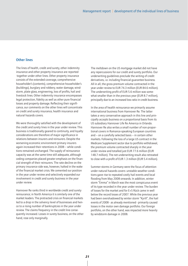#### Other lines

The lines of health, credit and surety, other indemnity insurance and other property insurance are reported together under other lines. Other property insurance consists of the extended coverage, comprehensive householder's (contents), comprehensive householder's (buildings), burglary and robbery, water damage, windstorm, plate glass, engineering, loss of profits, hail and livestock lines. Other indemnity insurance encompasses legal protection, fidelity as well as other pure financial losses and property damage. Reflecting their significance, our comments on the other lines will concentrate on credit and surety insurance, health insurance and natural hazards covers.

We were thoroughly satisfied with the development of the credit and surety lines in the year under review. This business is traditionally geared to continuity, and loyalty considerations are therefore of major significance in relations between insurers and reinsurers. Despite the worsening economic environment primary insurers again increased their retentions in 2008 – while conditions remained unchanged. The supply of reinsurance capacity was at the same time still adequate, although ceding companies placed greater emphasis on the financial strength of their reinsurers. The rate decline on the primary insurance side was, however, halted in the wake of the financial market crisis. We cemented our position in the year under review and selectively expanded our involvement in credit and surety business in the year under review.

Hannover Re ranks third in worldwide credit and surety reinsurance; in North America it is similarly one of the market leaders. The protracted crisis on financial markets led to a drop in the solvency level of businesses and hence to a rising number of bankruptcies in the year under review. The claims frequency in the credit line consequently increased. Losses in surety business, on the other hand, rose only marginally.

The meltdown on the US mortgage market did not have any repercussions for our credit and surety portfolio. Our underwriting guidelines preclude the writing of credit derivatives, i.e. including financial guarantee business. All in all, the gross premium volume contracted in the year under review to EUR 74.3 million (EUR 84.6 million). The underwriting profit of EUR 5.6 million was somewhat smaller than in the previous year (EUR 8.7 million), principally due to an increased loss ratio in credit business.

In the area of health reinsurance we primarily assume international business from Hannover Re. The latter takes a very conservative approach in this line and principally accepts business on a proportional basis from its US subsidiary Hannover Life Re America in Orlando. Hannover Re also writes a small number of non-proportional covers in Romance-speaking European countries and – on a carefully selected basis – in certain other markets. Following the loss of a large US contract in the Medicare Supplement sector due to portfolio withdrawal, the premium volume contracted sharply in the year under review and totalled just EUR 77.6 million (EUR 148.7 million). The net underwriting result also retreated to close with a profit of EUR 1.3 million (EUR 5.4 million).

Summer storms in Germany were the focus of attention under natural hazards covers: unstable weather conditions gave rise to repeated costly hail events and local flooding from May 2008 onwards. In addition, winter storm "Emma" in March was the most conspicuous event of its type recorded in the year under review. The burden of losses for the market and for E+S Rück came in well below the record losses of 2007. While the previous year had been overshadowed by winter storm "Kyrill", the hail events of 2008 - as already mentioned - primarily caused losses in the motor own damage portfolio. Our foreign portfolio, on the other hand, was impacted more heavily by windstorm damage in 2008.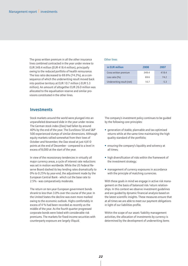The gross written premium in all the other insurance lines combined contracted in the year under review to EUR 349.4 million (EUR 418.4 million), principally owing to the reduced portfolio of health reinsurance. The loss ratio decreased to 69.6% (74.2%), as a consequence of which the underwriting result moved back into positive territory at EUR 10.7 million (-EUR 5.3 million). An amount of altogether EUR 26.0 million was allocated to the equalisation reserve and similar provisions constituted in the other lines.

#### **Investments**

Stock markets around the world were plunged into an unparalleled downward slide in the year under review. The German stock index (Dax) had fallen by around 40% by the end of the year. The EuroStoxx 50 and S&P 500 experienced slumps of similar dimensions. Although equity markets rallied somewhat from their lows of October and November, the Dax stood at just 4,810 points at the end of December - compared to a level in excess of 8,000 at the start of the year.

In view of the recessionary tendencies in virtually all major currency areas, a cycle of interest rate reductions was set in motion worldwide. While the US Federal Reserve Board slashed its key lending rates dramatically to 0% to 0.25% by year-end, the adjustment made by the European Central Bank - which cut the base rate to 2.5% - was comparatively moderate.

The return on ten-year European government bonds shrank to less than 3.0% over the course of the year. In the United States the decline was even more marked owing to the economic outlook. Highs comfortably in excess of 4 % had been recorded as recently as the middle of the year. As the fourth quarter progressed corporate bonds were listed with considerable risk premiums. The markets for fixed-income securities with counterparty exposure are largely illiquid.

#### Other lines

| in EUR million            | 2008  | 2007   |
|---------------------------|-------|--------|
| Gross written premium     | 349.4 | 418.4  |
| Loss ratio $(% )$         | 696   | 742    |
| Underwriting result (net) | 10.7  | $-5.3$ |

The company's investment policy continues to be guided by the following core principles:

- generation of stable, plannable and tax-optimised returns while at the same time maintaining the high quality standard of the portfolio;
- ensuring the company's liquidity and solvency at all times;
- high diversification of risks within the framework of the investment strategy;
- management of currency exposures in accordance with the principle of matching currencies.

With these goals in mind we engage in active risk management on the basis of balanced risk/return relationships. In this context we observe investment guidelines and are guided by dynamic financial analysis based on the latest scientific insights. These measures ensure that at all times we are able to meet our payment obligations in light of our liabilities profile.

Within the scope of our asset/liability management activities, the allocation of investments by currency is determined by the development of underwriting items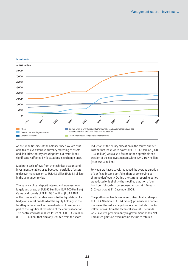

#### Investments

on the liabilities side of the balance sheet. We are thus able to achieve extensive currency matching of assets and liabilities, thereby ensuring that our result is not significantly affected by fluctuations in exchange rates.

Moderate cash inflows from the technical account and investments enabled us to boost our portfolio of assets under own management to EUR 4.3 billion (EUR 4.1 billion) in the year under review.

The balance of our deposit interest and expenses was largely unchanged at EUR 97.9 million (EUR 100.8 million). Gains on disposals of EUR 108.1 million (EUR 138.9 million) were attributable mainly to the liquidation of a hedge on almost one-third of the equity holdings in the fourth quarter as well as the realisation of reserves as part of the significant reduction of the equity allocation. This contrasted with realised losses of EUR 114.2 million (EUR 3.1 million) that similarly resulted from the sharp

reduction of the equity allocation in the fourth quarter. Last but not least, write-downs of EUR 34.6 million (EUR 19.6 million) were also a factor in the appreciable contraction of the net investment result to EUR 210.7 million (EUR 365.3 million).

For years we have actively managed the average duration of our fixed-income portfolio, thereby conserving our shareholders' equity. During the current reporting period we reduced only slightly the modified duration of our bond portfolio, which consequently stood at 4.0 years (4.2 years) as at 31 December 2008.

The portfolio of fixed-income securities climbed sharply to EUR 4.0 billion (EUR 3.4 billion), primarily as a consequence of the reduced equity allocation but also due to inflows of cash from the technical account. The funds were invested predominantly in government bonds. Net unrealised gains on fixed-income securities totalled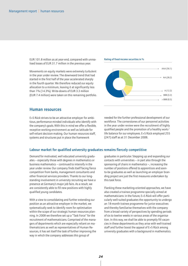EUR 101.8 million as at year-end, compared with unrealised losses of EUR 31.7 million in the previous year.

Movements on equity markets were extremely turbulent in the year under review. The downward trend that had started in the first half of the year accelerated sharply in the fourth quarter. We therefore reduced our equity allocation to a minimum, leaving it at significantly less than 1% (14.3%). Write-downs of EUR 3.3 million (EUR 7.4 million) were taken on this remaining portfolio.

#### Rating of fixed-income securities in %



#### Human resources

E+S Rück strives to be an attractive employer for ambitious, performance-minded individuals who identify with the company's goals. With this in mind we offer a flexible, receptive working environment as well as latitude for self-reliant decision-making. Our human resources staff, systems and structures put in place the framework

needed for the further professional development of our workforce. The cornerstones of our personnel activities in the year under review were the recruitment of highly qualified people and the promotion of a healthy work/ life balance for our employees. E+S Rück employed 255 (247) staff as at 31 December 2008.

#### Labour market for qualified university graduates remains fiercely competitive

Demand for motivated, well educated university graduates – especially those with degrees in mathematics or business mathematics – continued to intensify in the year under review. Our company finds itself facing fierce competition from banks, management consultants and other financial services providers. Thanks to our longstanding involvement in university recruiting we have a presence at Germany's major job fairs. As a result, we are consistently able to fill new positions with highly qualified young candidates.

With a view to consolidating and further extending our position as an attractive employer in the market, we systematically seek to identify room for optimisation within the scope of our strategic human resources planning. In 2008 we therefore set up a "Task Force" for the recruitment of mathematicians. Comprised of the managers of departments which are especially reliant on mathematicians as well as representatives of Human Resources, it has set itself the task of further improving the way in which the company addresses this group of

graduates in particular. Stepping up and expanding our contacts with universities – in part also through the sponsoring of chairs in mathematics –, increasing the number of positions offered to apprentices and soonto-be graduates as well as launching an employer branding project are just the first measures undertaken by this task force.

Flanking these marketing-oriented approaches, we have also created a trainee programme specially aimed at mathematicians: in the future, E+S Rück will offer particularly well-suited graduates the opportunity to undergo an 18-month trainee programme for junior executives and thereby familiarise themselves with the company from a broad variety of perspectives by spending periods of six to twelve weeks in various areas of the organisation. In this way, we shall be able to promptly fill vacancies in these departments as they arise with well-trained staff and further boost the appeal of E+S Rück among university graduates with a background in mathematics.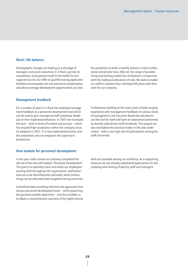#### Work/life balance

Demographic changes are leading to a shortage of managers and junior executives. E+S Rück, just like its competitors, must position itself in this battle for managerial recruits. Our offer to qualified young applicants therefore encompasses not only attractive compensation and above-average development opportunities, but also the possibility to strike a healthy balance in their professional and private lives. After all, the range of possible living and working models has multiplied in comparison with the traditional allocation of roles. We seek to enable our staff to combine their individual life plans with their work for our company.

#### Management feedback

For a number of years E+S Rück has employed management feedback as a personnel development tool which can be used to give managerial staff systematic feedback on their leadership behaviour. In 2007 we revamped this tool – both in terms of content and process – which has enjoyed high acceptance within the company since its adoption in 2001: it is now implemented online, and the assessment also encompasses the supervisor's perspective.

#### New module for personnel development

In the year under review our company completed the roll-out of the new SAP module "Personnel Development". The goal is to optimally track and utilise our employees' existing skills throughout the organisation: staff potentials are to be identified and cultivated, while shortcomings can be alleviated with targeted training activities.

Centralised data recording interlinks the appraisals from various personnel development tools – while preserving the greatest possible objectivity – and thus enables us to obtain a comprehensive overview of the highly diverse Furthermore, building on the many years of wide-ranging experience with management feedback on various levels of management, the Executive Board also decided to use the tool for itself and have an assessment performed by directly subordinate staff worldwide. This project too was translated into practical reality in the year under review – with a very high rate of participation among the staff concerned.

skills set available among our workforce. As a supporting measure, we use already established applications for the updating and viewing of data by staff and managers.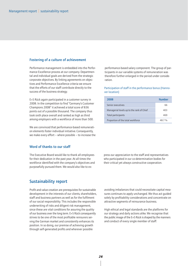#### Fostering of a culture of achievement

Performance management is embedded into the Performance Excellence process at our company. Departmental and individual goals are derived from the strategic corporate objectives. By linking agreements on objectives and Performance Excellence criteria we ensure that the efforts of our staff contribute directly to the success of the business strategy.

E+S Rück again participated in a customer survey in 2008. In the competition to find "Germany's Customer Champions 2008" it achieved a total score of 836 points out of a possible thousand. The company thus took sixth place overall and ranked as high as third among employers with a workforce of more than 500.

We are convinced that performance-based remuneration elements foster individual initiative. Consequently, we make every effort – where possible – to increase the

Word of thanks to our staff

The Executive Board would like to thank all employees for their dedication in the past year. At all times the workforce identified with the company's objectives and purposefully pursued them. We would also like to ex-

Sustainability report

Profit and value creation are prerequisites for sustainable development in the interests of our clients, shareholders, staff and business partners as well as for the fulfilment of our social responsibility. This includes the responsible underwriting of risks and diligent risk management, since these are vital conditions for assuring the quality of our business over the long term. E+S Rück consequently strives to be one of the most profitable reinsurers serving the German market and consistently enhances its position. In so doing, our premise of achieving growth through self-generated profits and wherever possible

performance-based salary component. The group of participants in our variable systems of remuneration was therefore further enlarged in the period under consideration.

Participation of staff in the performance bonus (Hannover location)

| 2008                                      | Number |
|-------------------------------------------|--------|
| Senior executives                         | 66     |
| Managerial levels up to the rank of Chief | 403    |
| Total participants                        | 469    |
| Proportion of the total workforce         | 48.7%  |

press our appreciation to the staff and representatives who participated in our co-determination bodies for their critical yet always constructive cooperation.

avoiding imbalances that could necessitate capital measures continues to apply unchanged. We thus act guided solely by profitability considerations and concentrate on attractive segments of reinsurance business.

High ethical and legal standards are the platforms for our strategy and daily actions alike. We recognise that the public image of the E+S Rück is shaped by the manners and conduct of every single member of staff.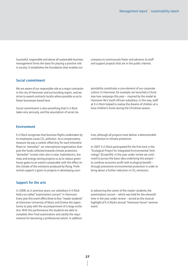Successful, responsible and above all sustainable business management forms the basis for playing a positive role in society. It establishes the foundation that enables our

#### Social commitment

We are aware of our responsible role as a major contractor in the city of Hannover and surrounding region, and we strive to award contracts locally where possible so as to foster businesses based here.

Social commitment is also something that E+S Rück takes very seriously, and the assumption of social rescompany to continuously foster and advance its staff and support projects that are in the public interest.

ponsibility constitutes a core element of our corporate culture. In Hannover, for example, we launched a Christmas tree campaign this year – inspired by the model at Hannover Re's South African subsidiary: in this way, staff at E+S Rück helped to realise the dreams of children at a local children's home during the Christmas season.

#### Environment

E+S Rück recognises that business flights undertaken by its employees cause  $CO<sub>2</sub>$  pollution. As a compensatory measure we pay a carbon offset levy for each kilometre flown to "atmosfair", an international organisation that puts the funds collected towards climate protection. "atmosfair" invests inter alia in solar, hydroelectric, biomass and energy-saving projects so as to reduce greenhouse gases to an extent comparable with the effect on the climate of the emissions produced by flying. Preferential support is given to projects in developing coun-

#### Support for the arts

In 2008, as in previous years, our subsidiary E+S Rück held a so-called "examination concert" in Hannover. Every year this event offers three to four "master students" at Hannover University of Music and Drama the opportunity to play with the accompaniment of a large orchestra. With this performance the students are able to complete their final examination and satisfy the requirements for becoming a professional soloist. In addition

tries, although all projects must deliver a demonstrable contribution to climate protection.

In 2007 E+S Rück participated for the first time in the "Ecological Project for Integrated Environmental Technology" (Ecoprofit). In the year under review we continued to pursue the basic idea underlying this project – to combine economic profit with ecological benefit – through preventive environmental protection in order to bring about a further reduction in  $CO<sub>2</sub>$  emissions.

to advancing the career of the master students, the examination concert – which was held for the eleventh time in the year under review – served as the musical highlight of E+S Rück's annual "Hannover Forum" seminar event.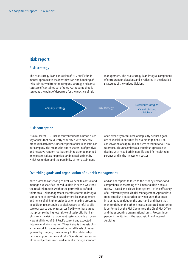#### Risk report

#### Risk strategy

The risk strategy is an expression of E+S Rück's fundamental approach to the identification and handling of risks. It is derived from the company strategy and constitutes a self-contained set of rules. At the same time it serves as the point of departure for the practice of risk

management. The risk strategy is an integral component of entrepreneurial actions and is reflected in the detailed strategies of the various divisions.



#### Risk conception

As a reinsurer E+S Rück is confronted with a broad diversity of risks that are directly connected with our entrepreneurial activities. Our conception of risk is holistic. For our company, risk means the entire spectrum of positive and negative random realisations in relation to planned or expected values. Negative random realisations, by which we understand the possibility of non-attainment

of an explicitly formulated or implicitly deduced goal, are of special importance for risk management. The conservation of capital is a decisive criterion for our risk tolerance. This necessitates a conscious approach to dealing with risks, both in non-life and life/health reinsurance and in the investment sector.

#### Overriding goals and organisation of our risk management

With a view to conserving capital, we seek to control and manage our specified individual risks in such a way that the total risk remains within the permissible, defined tolerances. Risk management therefore forms an integral component of our value-based enterprise management and hence of all higher-order decision-making processes. In addition to conserving capital, we are careful to allocate our scarce equity resources flexibly to those areas that promise the highest risk-weighted profit. Our insights from the risk management system provide an overview at all times of E+S Rück's current and expected future overall risk situation. These insights thus establish a framework for decision-making on all levels of management by bringing transparency to the relationship between opportunities and risks. Operational realisation of these objectives is ensured inter alia through standard

and ad hoc reports tailored to the risks, systematic and comprehensive recording of all material risks and our review – based on a closed loop system – of the efficiency of all relevant systems in risk management. Appropriate rules establish a separation between units that enter into or manage risks, on the one hand, and those that monitor risks, on the other. Process-integrated monitoring is performed by the Risk Committee, the Chief Risk Officer and the supporting organisational units. Process-independent monitoring is the responsibility of Internal Auditing.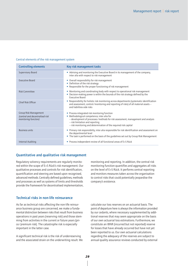#### Central elements of the risk management system

| <b>Controlling elements</b>                                                      | Key risk management tasks                                                                                                                                                                                                                                                              |
|----------------------------------------------------------------------------------|----------------------------------------------------------------------------------------------------------------------------------------------------------------------------------------------------------------------------------------------------------------------------------------|
| <b>Supervisory Board</b>                                                         | • Advising and monitoring the Executive Board in its management of the company,<br>inter alia with respect to risk management                                                                                                                                                          |
| <b>Executive Board</b>                                                           | • Overall responsibility for risk management<br>• Definition of the risk strategy<br>• Responsible for the proper functioning of risk management                                                                                                                                       |
| <b>Risk Committee</b>                                                            | • Monitoring and coordinating body with respect to operational risk management<br>• Decision-making power is within the bounds of the risk strategy defined by the<br><b>Executive Board</b>                                                                                           |
| Chief Risk Officer                                                               | • Responsibility for holistic risk monitoring across departments (systematic identification<br>and assessment, control/monitoring and reporting of risks) of all material assets -<br>and liabilities-side risks                                                                       |
| Group Risk Management<br>(central and decentralised risk<br>monitoring function) | • Process-integrated risk monitoring function<br>• Methodological competence, inter alia for<br>- development of processes/methods for risk assessment, management and analysis<br>- risk limitation and reporting<br>- risk monitoring and determination of the required risk capital |
| <b>Business units</b>                                                            | • Primary risk responsibility, inter alia responsible for risk identification and assessment on<br>the departmental level<br>• The task is performed on the basis of the quidelines set out by Group Risk Management                                                                   |
| <b>Internal Auditing</b>                                                         | • Process-independent review of all functional areas of E+S Rück                                                                                                                                                                                                                       |

#### Quantitative and qualitative risk management

Regulatory solvency requirements are regularly monitored within the scope of E+S Rück's risk management. Our qualitative processes and controls for risk identification, quantification and steering are based upon recognised, advanced methods. Centrally defined guidelines, methods and processes as well as systems of limits and thresholds provide the framework for decentralised implementation, monitoring and reporting. In addition, the central risk monitoring function quantifies and aggregates all risks on the level of E+S Rück. It performs central reporting and monitors measures taken across the organisation to control risks that could potentially jeopardise the company's existence.

#### Technical risks in non-life reinsurance

As far as technical risks affecting the non-life reinsurance business group are concerned, we make a fundamental distinction between risks that result from business operations in past years (reserving risk) and those stemming from activities in the current or future years (price/premium risk). The catastrophe risk is especially important in the latter case.

A significant technical risk is the risk of underreserving and the associated strain on the underwriting result. We calculate our loss reserves on an actuarial basis. The point of departure here is always the information provided by our cedants, where necessary supplemented by additional reserves that may seem appropriate on the basis of our own actuarial loss estimations. Furthermore, we constitute an IBNR (incurred but not reported) reserve for losses that have already occurred but have not yet been reported to us. Our own actuarial calculations regarding the adequacy of the reserves are subject to annual quality assurance reviews conducted by external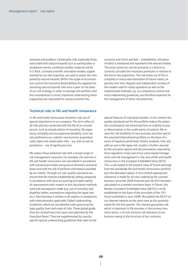actuaries and auditors. Catastrophe risks, especially those associated with natural hazards such as earthquakes or windstorm events, constitute another material risk for E+S Rück. Licensed scientific simulation models, supplemented by our own expertise, are used to assess the risks posed by natural hazards. Within the scope of accumulation control the Executive Board defines the appetite for assuming natural hazards risks once a year on the basis of our risk strategy. In order to manage the portfolio with this consideration in mind, maximum underwriting limits (capacities) are stipulated for various extreme loss

#### Technical risks in life and health reinsurance

In life and health reinsurance biometric risks are of special importance to our company. This term refers to all risks directly connected with the life of an insured person, such as miscalculation of mortality, life expectancy, morbidity and occupational disability. Since we also prefinance our cedants' new business acquisition costs, lapse and catastrophe risks – e.g. with an eye to pandemics – are of significance too.

We reduce these potential risks with a broad range of risk management measures. For example, the reserves in life and health reinsurance are calculated in accordance with actuarial principles using secure biometric actuarial bases and with the aid of portfolio information provided by our clients. Through our own quality assurance we ensure that the reserves established by ceding companies in accordance with local accounting principles satisfy all requirements with respect to the calculation methods used and assumptions made (e.g. use of mortality and disability tables, assumptions regarding the lapse rate etc.). New business is written in all regions in compliance with internationally applicable Global Underwriting Guidelines, which set out detailed rules governing the type, quality, level and origin of risks. These global guidelines are revised every two years and approved by the Executive Board. They are supplemented by countryspecific special underwriting guidelines that cater to the

scenarios and return periods / probabilities, utilisation of which is monitored and reported to the relevant bodies. The price/premium risk lies primarily in a failure to correctly calculate the necessary premiums in relation to the future loss experience. The risk arises out of the incomplete or inaccurate estimation of future claims, especially over time. Regular and independent reviews of the models used for treaty quotation as well as the implemented methods, e.g. our compulsory central and local underwriting guidelines, are therefore essential for the management of these risk potentials.

special features of individual markets. In this context the quality standards set for the portfolio reduce the potential counterparty risk stemming from an inability to pay or deterioration in the credit status of cedants. We review the risk feasibility of new business activities and of the assumed international portfolio on the basis of a series of regularly performed, holistic analyses, inter alia with an eye to the lapse risk. Quality is further assured by the actuarial reports and documentation required by local regulators. A key tool of our value-based management and risk management in the area of life and health reinsurance is the European Embedded Value (EEV). This is calculated as the present value of future earnings from the worldwide life and health reinsurance portfolio plus the allocated capital. In this context appropriate allowance is made for all risks underlying the covered business. Since the 2006 financial year the EEV has been calculated on a market-consistent basis. In future, this Market Consistent Embedded Value (MCEV) is to be established on the basis of the principles of the CFO Forum published in June 2008. We publish the MCEV on our Internet website at the same time as the quarterly report for the first quarter. The interest guarantee risk, which is important in life business in the primary insurance sector, is of only minimal risk relevance to our business owing to the structure of our contracts.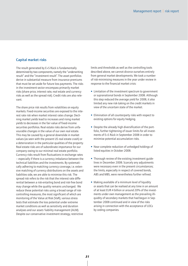#### Capital market risks

The result generated by E+S Rück is fundamentally determined by two components, namely the "underwriting result" and the "investment result". The asset portfolios derive in substantial measure from insurance premiums that must be set aside for future loss payments. The risks in the investment sector encompass primarily market risks (share price, interest rate, real estate and currency risks as well as the spread risk). Credit risks are also relevant.

The share price risk results from volatilities on equity markets. Fixed-income securities are exposed to the interest rate risk when market interest rates change. Declining market yields lead to increases and rising market yields to decreases in the fair value of fixed-income securities portfolios. Real estate risks derive from unfavourable changes in the value of our own real estate. This may be caused by a general downslide in market values (as seen with the present US real estate crash) or a deterioration in the particular qualities of the property. Real estate risks are of subordinate importance for our company owing to our minimal real estate portfolio. Currency risks result from fluctuations in exchange rates – especially if there is a currency imbalance between the technical liabilities and the investments. By systematically adhering to matching currency coverage, i.e. extensive matching of currency distributions on the assets and liabilities side, we are able to minimise this risk. The spread risk refers to the risk that the interest rate differential between a risk-entailing bond and risk-free bond may change while the quality remains unchanged. We reduce these potential risks using a broad range of riskcontrolling measures, the most significant of which are monitoring of the Value at Risk (VaR), various stress tests that estimate the loss potential under extreme market conditions as well as sensitivity and duration analyses and our asset/liability management (ALM). Despite our conservative investment strategy, restrictive

limits and thresholds as well as the controlling tools described above, we cannot divorce ourselves entirely from general market developments. We took a number of risk-minimising measures in the year under review in response to the financial market crisis:

- Limitation of the investment spectrum to government or supranational bonds in September 2008. Although this step reduced the average yield for 2008, it also limited any new risk-taking on the credit markets in view of the uncertain state of the market.
- Elimination of all counterparty risks with respect to existing options for equity hedging.
- Despite the already high diversification of the portfolio, further tightening of issuer limits for all investments of E+S Rück in September 2008 in order to minimise potential accumulation risks.
- Near complete reduction of unhedged holdings of listed equities in October 2008.
- Thorough review of the existing investment quidelines in December 2008. Scarcely any adjustments were necessary even in the present circumstances; the limits, especially in respect of covered bonds, ABS and MBS, were nevertheless further refined.
- Making available of a minimum level of liquidity or assets that can be realised at any time in an amount of at least EUR 4 billion or around 20% of the investments under own management as the prevailing illiquidity of secondary markets that had begun in September 2008 continued and in view of the risks arising in connection with the acceptance of LOCs by ceding companies.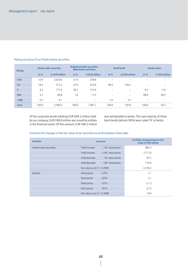#### Rating structure of our fixed-income securities

| Rating         | <b>Bearer debt securities</b> |                | Registered debt securities,<br>debentures and loans |                | <b>Bond funds</b>        |                          | <b>Sundry loans</b>      |                          |
|----------------|-------------------------------|----------------|-----------------------------------------------------|----------------|--------------------------|--------------------------|--------------------------|--------------------------|
|                | in $%$                        | in EUR million | in $%$                                              | in EUR million | in $%$                   | in EUR million           | in $%$                   | in EUR million           |
| AAA            | 72.9                          | 2,026.6        | 21.8                                                | 238.8          | $\overline{\phantom{0}}$ |                          |                          | —                        |
| AA             | 18.4                          | 512.2          | 47.9                                                | 525.8          | 96.5                     | 102,2                    | $\overline{\phantom{m}}$ | $\overline{\phantom{m}}$ |
| $\overline{A}$ | 6.2                           | 171.6          | 28.7                                                | 315.0          | $\qquad \qquad$          | $\overline{\phantom{m}}$ | 9.2                      | 5.0                      |
| <b>BBB</b>     | 2.2                           | 60.8           | 1.6                                                 | 17.5           | $\overline{\phantom{0}}$ | $\overline{\phantom{0}}$ | 90.8                     | 49.2                     |
| $<$ BBB        | 0.3                           | 9.1            | $\overline{\phantom{0}}$                            |                | 3.5                      | 3.7                      | $\overline{\phantom{m}}$ | $\overline{\phantom{0}}$ |
| Total          | 100.0                         | 2,780.3        | 100.0                                               | 1,097.1        | 100.0                    | 105.9                    | 100.0                    | 54.2                     |

Of the corporate bonds totalling EUR 689.2 million held by our company, EUR 598.8 million was issued by entities in the financial sector. Of this amount, EUR 586.3 million was attributable to banks. The vast majority of these bank bonds (almost 90%) were rated "A" or better.

#### Scenarios for changes in the fair value of our securities as at the balance sheet date

| <b>Portfolio</b>        |                             | <b>Scenario</b>     | Portfolio change based on fair<br>value in EUR million |
|-------------------------|-----------------------------|---------------------|--------------------------------------------------------|
| Fixed-income securities | Yield increase              | +50 basis points    | (88.1)                                                 |
|                         | Yield increase              | $+100$ basis points | (171.2)                                                |
|                         | Yield decrease              | - 50 basis points   | 87.2                                                   |
|                         | Yield decrease              | - 100 basis points  | 179.4                                                  |
|                         | Fair value as at 31.12.2008 |                     | 4,139.2                                                |
| Equities                | Share prices                | $+10%$              | 1.1                                                    |
|                         | Share prices                | $+20%$              | 2.1                                                    |
|                         | Share prices                | $-10%$              | (1.1)                                                  |
|                         | Share prices                | $-20%$              | (2.1)                                                  |
|                         | Fair value as at 31.12.2008 |                     | 10.6                                                   |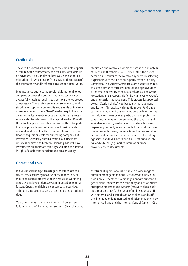#### Credit risks

The credit risk consists primarily of the complete or partial failure of the counterparty and the associated default on payment. Also significant, however, is the so-called migration risk, which results from a rating downgrade of the counterparty and is reflected in a change in fair value.

In reinsurance business the credit risk is material for our company because the business that we accept is not always fully retained, but instead portions are retroceded as necessary. These retrocessions conserve our capital, stabilise and optimise our results and enable us to derive maximum benefit from a "hard" market (e.g. following a catastrophe loss event). Alongside traditional retrocession we also transfer risks to the capital market. Overall, these tools support diversification within the total portfolio and promote risk reduction. Credit risks are also relevant in life and health reinsurance because we prefinance acquisition costs for our ceding companies. Our investments similarly entail a credit risk. Our clients, retrocessionaires and broker relationships as well as our investments are therefore carefully evaluated and limited in light of credit considerations and are constantly

monitored and controlled within the scope of our system of limits and thresholds. E+S Rück counters the risk of default on reinsurance recoverables by carefully selecting its partners with the aid of an expertly staffed Security Committee. The Security Committee continuously monitors the credit status of retrocessionaires and approves measures where necessary to secure receivables. The Group Protections unit is responsible for the Hannover Re Group's ongoing cession management. This process is supported by our "Cession Limits" web-based risk management application. This assists with the Hannover Re Group's cession management by specifying cession limits for the individual retrocessionaires participating in protection cover programmes and determining the capacities still available for short-, medium- and long-term business. Depending on the type and expected run-off duration of the reinsured business, the selection of reinsurers takes account not only of the minimum ratings of the rating agencies Standard & Poor's and A.M. Best but also internal and external (e.g. market information from brokers) expert assessments.

#### Operational risks

In our understanding, this category encompasses the risk of losses occurring because of the inadequacy or failure of internal processes or as a result of events triggered by employee-related, system-induced or external factors. Operational risks also encompass legal risks, although they do not extend to strategic or reputational risks.

Operational risks may derive, inter alia, from system failures or unlawful or unauthorised acts. Given the broad spectrum of operational risks, there is a wide range of different management measures tailored to individual risks. Core elements of risk management are our contingency plans that ensure the continuity of mission-critical enterprise processes and systems (recovery plans, backup computer centre). The range of tools is rounded off with external and internal surveys of clients and staff, the line-independent monitoring of risk management by Internal Auditing and the Internal Control System (ICS).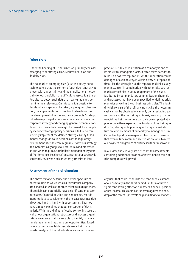#### Other risks

Under the heading of "Other risks" we primarily consider emerging risks, strategic risks, reputational risks and liquidity risks.

The hallmark of emerging risks (such as obesity, nanotechnology) is that the content of such risks is not as yet known with any certainty and their implications – especially for our portfolio – are difficult to assess. It is therefore vital to detect such risks at an early stage and determine their relevance. On this basis it is possible to decide which steps must be taken, e.g. ongoing observation, the implementation of contractual exclusions or the development of new reinsurance products. Strategic risks derive principally from an imbalance between the corporate strategy and changing general economic conditions. Such an imbalance might be caused, for example, by incorrect strategic policy decisions, a failure to consistently implement the defined strategies or by fundamental changes in court decisions or the regulatory environment. We therefore regularly review our strategy and systematically adjust our structures and processes as and when required. Our holistic management system of "Performance Excellence" ensures that our strategy is constantly reviewed and consistently translated into

practice. E+S Rück's reputation as a company is one of its most vital intangible assets. It often takes decades to build up a positive reputation, yet this reputation can be damaged or even destroyed within a very brief space of time. Like the strategic risk, the reputational risk usually manifests itself in combination with other risks, such as market or technical risks. Management of this risk is facilitated by our mandatory communication channels and processes that have been specified for defined crisis scenarios as well as by our business principles. The liquidity risk consists of the refinancing risk, i.e. the necessary cash cannot be obtained or can only be raised at increased costs, and the market liquidity risk, meaning that financial market transactions can only be completed at a poorer price than expected due to a lack of market liquidity. Regular liquidity planning and a liquid asset structure are core elements of our ability to manage this risk. Our active liquidity management has helped to ensure that even in times of financial crisis we are able to meet our payment obligations at all times without reservation.

In our view, there is very little risk that tax assessments containing additional taxation of investment income at Irish companies will prevail.

#### Assessment of the risk situation

The above remarks describe the diverse spectrum of potential risks to which we, as a reinsurance company, are exposed as well as the steps taken to manage them. These risks can potentially have a significant impact on our assets, financial position and net income. Yet it is inappropriate to consider only the risk aspect, since risks always go hand-in-hand with opportunities. Thus, we have already explained that our conception of risk is holistic. With the aid of our effective controlling tools as well as our organisational structure and process organisation, we ensure that we are able to identify risks in a timely manner and maximise our opportunities. Based on our currently available insights arrived at from a holistic analysis of the risk situation, we cannot discern

any risks that could jeopardise the continued existence of our company in the short or medium term or have a significant, lasting effect on our assets, financial position or net income. This remains true even against the backdrop of the recent upheavals on global financial markets.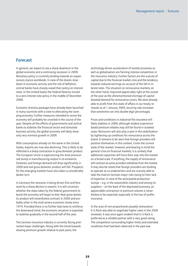### Forecast

In general, we expect to see a sharp downturn in the global economy and a continuing recession in 2009. Monetary policy is currently tending towards an expansionary stance worldwide. In view of the drastic slowdown in economic activity and the risk of deflation, central banks have sharply eased their policy on interest rates. In the United States the Federal Reserve moved to a zero interest rate policy in the middle of December 2008.

Economic stimulus packages have already been launched in many countries with a view to alleviating the slumping economy. Further measures intended to revive the economy will probably be unveiled in the course of the year. Despite all the efforts of governments and central banks to stabilise the financial sector and stimulate business activity, the global economy will likely show only very minimal growth in 2009.

With consumption already on the wane in the United States, exports are now also declining. This is likely to be reflected in a sharp contraction in gross domestic product. The European Union is experiencing the most pronounced slump in manufacturing output in its existence. Domestic and foreign demand will drop significantly in 2009 and real gross domestic product will fall. Prospects for the emerging markets have also taken a considerably darker turn.

In Germany the recession is being driven first and foremost by a sharp decline in exports. It is still uncertain whether the steps taken by the federal government to boost the economy will begin to bite. Real gross domestic product will nevertheless contract in 2009 and probably usher in the most severe economic slump since 1974. Provided there is no further bad news to reinforce the downward trend, the economic situation is expected to stabilise gradually in the second half of the year.

The German insurance industry is currently facing protracted major challenges. Along with the trend towards slowing premium growth relative to past years, the

technology-driven acceleration of market processes as well as globalisation are fanning intense competition in the insurance industry. Further factors are the scarcity of capital due to the financial market crisis and the tendency towards reduced earnings on account of the fall in interest rates. The situation on reinsurance markets, on the other hand, improved appreciably right at the outset of the year as the aforementioned shortage of capital boosted demand for reinsurance covers. We were already able to profit from this state of affairs in our treaty renewals as at 1 January 2009, securing rate increases that sometimes ran into double-digit percentages.

Prices and conditions in *industrial fire insurance* will likely stabilise in 2009, although modest experiencebased premium rebates may still be found in isolated cases. Reinsurers will also play a part in this stabilisation by tightening up conditions for reinsurance across the board. It remains to be seen how foreign providers will position themselves in this context. Given the current state of the market, however, and bearing in mind the general crisis on financial markets, it is unlikely that additional capacities will force their way into the market on a broad scale. If anything, the supply of reinsurance will contract as some providers withdraw from the market. It may also be noted that foreign providers are tending to operate as co-underwriters and are scarcely able to take the lead on German major risks owing to their lack of expertise. In view of the anticipated production slumps – e.g. in the automobile industry and among its suppliers – on the back of the depressed economy, an appreciable contraction in premium volume is nevertheless to be expected, especially in fire loss of profits insurance.

In the area of non-proportional *casualty reinsurance* E+S Rück was able to negotiate higher rates in the 2009 renewals. It was once again evident that E+S Rück is preferred as a reliable partner with a very good rating. The competition surrounding higher limits and extended conditions that had been observed in the past was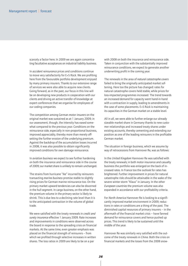scarcely a factor here. In 2009 we are again concentrating facultative acceptances on industrial liability business.

In *accident reinsurance* prices and conditions continue to move very satisfactorily for E+S Rück. We are profiting here from the favourable portfolio development enjoyed by many primary insurers. Thanks to our extensive range of services we were also able to acquire new clients. Going forward, as in the past, our focus in this line will be on developing new products in cooperation with our clients and driving an active transfer of knowledge at expert conferences that we organise for employees of our ceding companies.

The competition among German *motor insurers* on the original market was sustained as at 1 January 2009; in our assessment, though, the intensity has eased somewhat compared to the previous year. Conditions on the reinsurance side, especially in non-proportional business, improved appreciably, thereby more than merely offsetting the further erosion of the underlying premium. Against the backdrop of the accumulation losses incurred in 2008, it was also possible to obtain significantly improved conditions for own damage reinsurance.

In *aviation business* we expect to see further hardening on both the insurance and reinsurance side in the course of 2009; our market share is unlikely to remain unchanged.

The strains from hurricane "Ike" incurred by reinsurers transacting *marine business* promise stable to slightly rising prices for German marine reinsurance too. On the primary market upward tendencies can also be discerned in the hull segment. In cargo business, on the other hand, the premium volume in the primary sector is likely to shrink. This is due less to a declining rate level than it is to the anticipated contraction in the volume of global trade.

We were satisfied with the treaty renewals in *credit and surety insurance* effective 1 January 2009. Rate increases and improvements in conditions were observed across the board in response to the spreading crisis on financial markets. At the same time, even greater emphasis was placed on the financial strength of reinsurers – from which we profited through selective increases in written shares. The loss ratios in 2009 are likely to be on a par

with 2008 on both the insurance and reinsurance side. Taken in conjunction with the substantially improved reinsurance conditions, we expect to generate another underwriting profit in the coming year.

The renewals in the area of *natural catastrophe covers* failed to bring the originally anticipated market softening. Here too the picture has changed: rates for natural catastrophe covers held stable, while prices for loss-impacted programmes increased. The trend towards an increased demand for capacity went hand-in-hand with a contraction in supply, leading to amendments in the case of some placements. E+S Rück is maintaining its capacities in the German market on a stable level.

All in all, we were able to further enlarge our already sizeable market share in Germany thanks to new customer relationships and increased treaty shares under existing accounts, thereby cementing and extending our position as one of the leading reinsurers in the profitable German market.

The situation in foreign business, which we assume by way of retrocessions from Hannover Re, was as follows:

In the *United Kingdom* Hannover Re was satisfied with the treaty renewals; in both motor insurance and casualty business the portfolio was enlarged on the back of increased rates. In France too the outlook for rates has brightened. Further improvement in prices for natural catastrophe risks should be attainable in the wake of the severe winter storm "Klaus" in January. In the other *European countries* the premium volume was also expanded in accordance with our profitability criteria.

For *North America* Hannover Re is looking to a significantly improved market environment in 2009; reductions in rates or conditions are a thing of the past. The diminished capital resources of primary insurers – in the aftermath of the financial market crisis – have fanned demand for reinsurance covers and hence pushed up prices. This trend is likely to be sustained until the middle of the year.

Hannover Re was similarly very satisfied with the outcome of the treaty renewals in *China*. Both the crisis on financial markets and the losses from the 2008 snow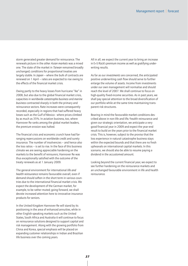storm generated greater demand for reinsurance. The renewals picture in the *other Asian markets* was a mixed one. The state of the market in *Taiwan* remained broadly unchanged; conditions for proportional treaties are largely stable. In *Japan* – where the bulk of contracts are renewed on 1 April – rates are expected to rise owing to the effects of the financial market crisis.

Owing partly to the heavy losses from hurricane "Ike" in 2008, but also due to the global financial market crisis, capacities in worldwide *catastrophe business* and *marine business* contracted sharply in both the primary and reinsurance sectors. Rate increases were consequently recorded, especially in regions that had suffered heavy losses such as the Gulf of Mexico - where prices climbed by as much as 35%. In aviation business, too, where Hannover Re ranks among the global market leaders, the premium erosion was halted.

The financial crisis and economic crunch have had farranging repercussions on worldwide credit and surety insurance. The number of insolvencies – and hence also the loss ratios – is set to rise. In the face of this business climate we are seeing appreciable hardening on the markets to the benefit of reinsurers; Hannover Re was thus exceptionally satisfied with the outcome of the treaty renewals as at 1 January 2009.

The general environment for international *life and health reinsurance* remains favourable overall, even if demand should soften in the short term in various countries due to the international financial market crisis. We expect the development of the German market, for example, to be rather muted; going forward, we shall devote increased attention here to innovative insurance products for seniors.

In the United Kingdom Hannover Re will stand by its positioning in the area of enhanced annuities, while in other English-speaking markets such as the United States, South Africa and Australia it will continue to focus on reinsurance solutions designed to support capital and risk management. Along with the growing portfolio from China and Korea, special emphasis will be placed on expanding customer relationships in Indian and Brazilian life business over the coming years.

All in all, we expect the current year to bring an increase in E+S Rück's premium income as well as gratifying underwriting results.

As far as our *investments* are concerned, the anticipated positive underwriting cash flow should serve to further enlarge the volume of assets. Income from investments under our own management will normalise and should reach the level of 2007. We shall continue to focus on high-quality fixed-income securities. As in past years, we shall pay special attention to the broad diversification of our portfolio while at the same time maintaining transparent risk structures.

Bearing in mind the favourable market conditions described above in non-life and life/health reinsurance and given our strategic orientation, we anticipate a very good financial year in 2009 and expect the year-end result to build on the years prior to the financial market crisis. This is, however, subject to the proviso that the loss experience in natural catastrophe business stays within the expected bounds and that there are no fresh upheavals on international capital markets. In this scenario, we should also be able to resume paying a dividend in the accustomed amount.

Looking beyond the current financial year, we expect to see further hardening on the reinsurance markets and an unchanged favourable environment in life and health reinsurance.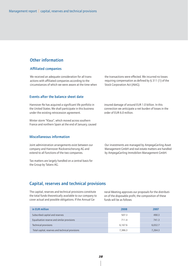### Other information

#### Affiliated companies

We received an adequate consideration for all transactions with affiliated companies according to the circumstances of which we were aware at the time when

Events after the balance sheet date

Hannover Re has acquired a significant life portfolio in the United States. We shall participate in this business under the existing retrocession agreement.

Winter storm "Klaus", which moved across southern France and northern Spain at the end of January, caused

#### Miscellaneous information

Joint administration arrangements exist between our company and Hannover Rückversicherung AG and extend to all functions of the two companies.

Tax matters are largely handled on a central basis for the Group by Talanx AG.

the transactions were effected. We incurred no losses requiring compensation as defined by  $\S$  311 (1) of the Stock Corporation Act (AktG).

insured damage of around EUR 1.0 billion. In this connection we anticipate a net burden of losses in the order of EUR 6.0 million.

Our investments are managed by AmpegaGerling Asset Management GmbH and real estate matters are handled by AmpegaGerling Immobilien Management GmbH.

### Capital, reserves and technical provisions

The capital, reserves and technical provisions constitute the total funds theoretically available to our company to cover actual and possible obligations. If the Annual General Meeting approves our proposals for the distribution of the disposable profit, the composition of these funds will be as follows:

| in EUR million                                   | 2008    | 2007    |
|--------------------------------------------------|---------|---------|
| Subscribed capital and reserves                  | 507.3   | 490.3   |
| Equalisation reserve and similar provisions      | 711.4   | 741.3   |
| <b>Technical provisions</b>                      | 6.167.6 | 6,032.7 |
| Total capital, reserves and technical provisions | 7,386.3 | 7,264.3 |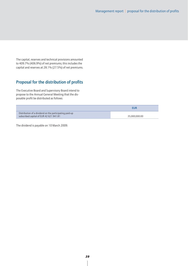The capital, reserves and technical provisions amounted to 409.7% (406.9%) of net premiums; this includes the capital and reserves at 28.1% (27.5%) of net premiums.

# Proposal for the distribution of profits

The Executive Board and Supervisory Board intend to propose to the Annual General Meeting that the disposable profit be distributed as follows:

|                                                                                                    | EUR           |
|----------------------------------------------------------------------------------------------------|---------------|
| Distribution of a dividend on the participating paid-up<br>subscribed capital of EUR 42 621 941.81 | 35.000.000.00 |

The dividend is payable on 10 March 2009.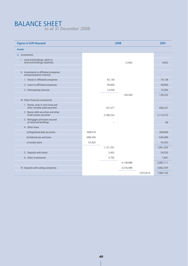### BALANCE SHEET as at 31 December 2008

| <b>Figures in EUR thousand</b>                                         |         |           | 2008      |           | 2007      |
|------------------------------------------------------------------------|---------|-----------|-----------|-----------|-----------|
| <b>Assets</b>                                                          |         |           |           |           |           |
| A. Investments                                                         |         |           |           |           |           |
| I. Land and buildings, rights to<br>land and buildings, leasehold      |         |           | 13,093    |           | 4,952     |
| II. Investments in affiliated companies<br>and participation interests |         |           |           |           |           |
| 1. Shares in affiliated companies                                      |         | 92,136    |           |           | 74,138    |
| 2. Loans to affiliated companies                                       |         | 40,000    |           |           | 40,000    |
| 3. Participating interests                                             |         | 14,204    |           |           | 14,204    |
|                                                                        |         |           | 146,340   |           | 128,342   |
| III. Other financial investments                                       |         |           |           |           |           |
| 1. Shares, units in unit trusts and<br>other variable-yield securities |         | 197,377   |           |           | 690,257   |
| 2. Bearer debt securities and other<br>fixed-income securities         |         | 2,780,255 |           |           | 2,173,575 |
| 3. Mortgages and loans secured<br>on land and buildings                |         |           |           |           | 66        |
| 4. Other loans                                                         |         |           |           |           |           |
| a) Registered debt securities                                          | 408,618 |           |           |           | 360,000   |
| b) Debentures and loans                                                | 688,440 |           |           |           | 646,999   |
| c) Sundry loans                                                        | 54,203  |           |           |           | 54,203    |
|                                                                        |         | 1,151,261 |           |           | 1,061,202 |
| 5. Deposits with banks                                                 |         | 3,402     |           |           | 54,520    |
| 6. Other investments                                                   |         | 5,793     |           |           | 7,491     |
|                                                                        |         |           | 4,138,088 |           | 3,987,111 |
| IV. Deposits with ceding companies                                     |         |           | 3,576,498 |           | 3,862,787 |
|                                                                        |         |           |           | 7,874,019 | 7,983,192 |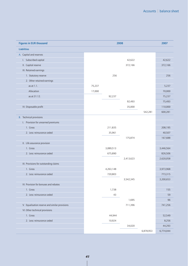| <b>Figures in EUR thousand</b>                 | 2008   |           |           |           | 2007      |
|------------------------------------------------|--------|-----------|-----------|-----------|-----------|
| <b>Liabilities</b>                             |        |           |           |           |           |
| A. Capital and reserves                        |        |           |           |           |           |
| I. Subscribed capital                          |        |           | 42,622    |           | 42,622    |
| II. Capital reserve                            |        |           | 372,166   |           | 372,166   |
| III. Retained earnings                         |        |           |           |           |           |
| 1. Statutory reserve                           |        | 256       |           |           | 256       |
| 2. Other retained earnings                     |        |           |           |           |           |
| as at $1.1$ .                                  | 75,237 |           |           |           | 5,237     |
| Allocation                                     | 17,000 |           |           |           | 70,000    |
| as at 31.12.                                   |        | 92,237    |           |           | 75,237    |
|                                                |        |           | 92,493    |           | 75,493    |
| IV. Disposable profit                          |        |           | 35,000    |           | 110,000   |
|                                                |        |           |           | 542,281   | 600,281   |
| <b>B.</b> Technical provisions                 |        |           |           |           |           |
| I. Provision for unearned premiums             |        |           |           |           |           |
| 1. Gross                                       |        | 211,835   |           |           | 208,195   |
| 2. Less: reinsurance ceded                     |        | 35,961    |           |           | 40,507    |
|                                                |        |           | 175,874   |           | 167,688   |
| II. Life assurance provision                   |        |           |           |           |           |
| 1. Gross                                       |        | 3,089,513 |           |           | 3,446,564 |
| 2. Less: reinsurance ceded                     |        | 675,890   |           |           | 826,506   |
|                                                |        |           | 2,413,623 |           | 2,620,058 |
| III. Provisions for outstanding claims         |        |           |           |           |           |
| 1. Gross                                       |        | 4,263,148 |           |           | 3,973,968 |
| 2. Less: reinsurance ceded                     |        | 720,803   |           |           | 773,315   |
|                                                |        |           | 3,542,345 |           | 3,200,653 |
| IV. Provision for bonuses and rebates          |        |           |           |           |           |
| 1. Gross                                       |        | 1,738     |           |           | 155       |
| 2. Less: reinsurance ceded                     |        | 43        |           |           | 59        |
|                                                |        |           | 1,695     |           | 96        |
| V. Equalisation reserve and similar provisions |        |           | 711,396   |           | 741,256   |
| VI. Other technical provisions                 |        |           |           |           |           |
| 1. Gross                                       |        | 44,944    |           |           | 52,549    |
| 2. Less: reinsurance ceded                     |        | 10,924    |           |           | 8,256     |
|                                                |        |           | 34,020    |           | 44,293    |
|                                                |        |           |           | 6,878,953 | 6,774,044 |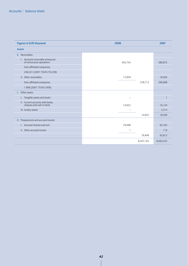| <b>Figures in EUR thousand</b>                                  | 2008      | 2007      |
|-----------------------------------------------------------------|-----------|-----------|
| <b>Assets</b>                                                   |           |           |
| <b>B.</b> Receivables                                           |           |           |
| I. Accounts receivable arising out<br>of reinsurance operations | 365,754   | 380,872   |
| from affiliated companies:                                      |           |           |
| 246,331 (2007: TEUR 276,258)                                    |           |           |
| II. Other receivables                                           | 12,959    | 16,026    |
| from affiliated companies:                                      | 378,713   | 396,898   |
| 1,996 (2007: TEUR 3,958)                                        |           |           |
| C. Other assets                                                 |           |           |
| I. Tangible assets and stocks                                   |           |           |
| II. Current accounts with banks,<br>cheques and cash in hand    | 14,932    | 16,134    |
| III. Sundry assets                                              |           | 2,314     |
|                                                                 | 14,932    | 18,449    |
| D. Prepayments and accrued income                               |           |           |
| I. Accrued interest and rent                                    | 79,498    | 65,703    |
| II. Other accrued income                                        | ı         | 110       |
|                                                                 | 79,499    | 65,813    |
|                                                                 | 8,347,163 | 8,464,352 |

 $\overline{\phantom{a}}$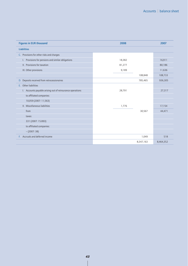| <b>Figures in EUR thousand</b>                            | 2008      | 2007      |
|-----------------------------------------------------------|-----------|-----------|
| <b>Liabilities</b>                                        |           |           |
| Provisions for other risks and charges<br>C.              |           |           |
| Provisions for pensions and similar obligations<br>I.     | 18,382    | 16,911    |
| II. Provisions for taxation                               | 81,277    | 80,186    |
| III. Other provisions                                     | 9,189     | 11,636    |
|                                                           | 108,848   | 108,733   |
| Deposits received from retrocessionaires<br>D.            | 785,465   | 936,305   |
| Other liabilities<br>E.                                   |           |           |
| I. Accounts payable arising out of reinsurance operations | 28,791    | 27,317    |
| to affiliated companies:                                  |           |           |
| 10,059 (2007: 11,563)                                     |           |           |
| II. Miscellaneous liabilities                             | 1,776     | 17,154    |
| from                                                      | 30,567    | 44,471    |
| taxes:                                                    |           |           |
| 331 (2007: 15.893)                                        |           |           |
| to affiliated companies:                                  |           |           |
| $-(2007:38)$                                              |           |           |
| Accruals and deferred income<br>E.                        | 1,049     | 518       |
|                                                           | 8,347,163 | 8,464,352 |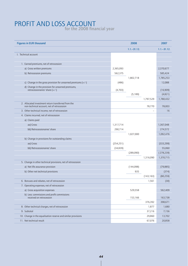# PROFIT AND LOSS ACCOUNT

for the 2008 financial year

| <b>Figures in EUR thousand</b>                                                                    |            | 2008           |            | 2007           |
|---------------------------------------------------------------------------------------------------|------------|----------------|------------|----------------|
|                                                                                                   |            | $1.1 - 31.12.$ |            | $1.1 - 31.12.$ |
| I. Technical account                                                                              |            |                |            |                |
|                                                                                                   |            |                |            |                |
| 1. Earned premiums, net of retrocession                                                           |            |                |            |                |
| a) Gross written premiums                                                                         | 2,365,093  |                |            | 2,370,677      |
| b) Retrocession premiums                                                                          | 562,375    |                |            | 585,424        |
|                                                                                                   |            | 1,802,718      |            | 1,785,253      |
| c) Change in the gross provision for unearned premiums $(+/-)$                                    | (486)      |                |            | 12,088         |
| d) Change in the provision for unearned premiums,<br>retrocessionaires' share $(+/-)$             | (4,703)    |                |            | (16,909)       |
|                                                                                                   |            | (5,189)        |            | (4,821)        |
|                                                                                                   |            |                | 1,797,529  | 1,780,432      |
| 2. Allocated investment return transferred from the<br>non-technical account, net of retrocession |            |                | 78,770     | 78,003         |
| 3. Other technical income, net of retrocession                                                    |            |                |            | 16             |
| 4. Claims incurred, net of retrocession                                                           |            |                |            |                |
| a) Claims paid                                                                                    |            |                |            |                |
| aa) Gross                                                                                         | 1,317,714  |                |            | 1,367,048      |
| bb) Retrocessionaires' share                                                                      | 290,714    |                |            | 274,572        |
|                                                                                                   |            | 1,027,000      |            | 1,092,476      |
| b) Change in provisions for outstanding claims                                                    |            |                |            |                |
| aa) Gross                                                                                         | (254, 251) |                |            | (333, 299)     |
| bb) Retrocessionaires' share                                                                      | (34, 839)  |                |            | 55,060         |
|                                                                                                   |            | (289,090)      |            | (278, 239)     |
|                                                                                                   |            |                | 1,316,090  | 1,370,715      |
| 5. Change in other technical provisions, net of retrocession                                      |            |                |            |                |
| a) Net life assurance provision                                                                   |            | (144,098)      |            | (79, 885)      |
| b) Other net technical provisions                                                                 |            | 935            |            | (374)          |
|                                                                                                   |            |                | (143, 163) | (80, 259)      |
| 6. Bonuses and rebates, net of retrocession                                                       |            |                | 1,561      | (30)           |
| 7. Operating expenses, net of retrocession                                                        |            |                |            |                |
| a) Gross acquisition expenses                                                                     |            | 529,558        |            | 562,409        |
| b) Less: commissions and profit commissions<br>received on retrocession                           |            | 153,166        |            | 163,738        |
|                                                                                                   |            |                | 376,392    | 398,671        |
| 8. Other technical charges, net of retrocession                                                   |            |                | 1,877      | 1,680          |
| 9. Subtotal                                                                                       |            |                | 37,216     | 7,156          |
| 10. Change in the equalisation reserve and similar provisions                                     |            |                | 29,860     | 13,702         |
| 11. Net technical result                                                                          |            |                | 67,076     | 20,858         |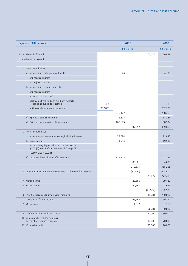| <b>Figures in EUR thousand</b>                                                 | 2008    |         |                | 2007      |                |
|--------------------------------------------------------------------------------|---------|---------|----------------|-----------|----------------|
|                                                                                |         |         | $1.1 - 31.12.$ |           | $1.1 - 31.12.$ |
| Balance brought forward:                                                       |         |         |                | 67,076    | 20,858         |
| II. Non-technical account                                                      |         |         |                |           |                |
|                                                                                |         |         |                |           |                |
| 1. Investment income                                                           |         |         |                |           |                |
| a) Income from participating interests                                         |         | 6,146   |                |           | 4,309          |
| affiliated companies:                                                          |         |         |                |           |                |
| 3.746 (2007: 2.309)                                                            |         |         |                |           |                |
| b) Income from other investments                                               |         |         |                |           |                |
| affiliated companies:                                                          |         |         |                |           |                |
| 54.241 (2007: 51.373)                                                          |         |         |                |           |                |
| aa) Income from land and buildings, rights to<br>land and buildings, leasehold | 1,489   |         |                |           | 488            |
| bb) Income from other investments                                              | 277,833 |         |                |           | 237,775        |
|                                                                                |         | 279,322 |                |           | 238,263        |
| c) Appreciation on investments                                                 |         | 3,674   |                |           | 18,364         |
| d) Gains on the realisation of investments                                     |         | 108,115 |                |           | 138,924        |
|                                                                                |         |         | 397,257        |           | 399,860        |
| 2. Investment charges                                                          |         |         |                |           |                |
| a) Investment management charges, including interest                           |         | 37,794  |                |           | 11,882         |
| b) Depreciation                                                                |         | 34,584  |                |           | 19,594         |
| extraordinary depreciation in accordance with                                  |         |         |                |           |                |
| § 253 (2) item 3 of the Commercial Code (HGB):                                 |         |         |                |           |                |
| 19.107 (2007: 2.223)                                                           |         |         |                |           |                |
| c) Losses on the realisation of investments                                    |         | 114,208 |                |           | 3,129          |
|                                                                                |         |         | 186,586        |           | 34.605         |
|                                                                                |         |         | 210,671        |           | 365,255        |
| 3. Allocated investment return transferred to the technical account            |         |         | (87, 494)      |           | (87, 842)      |
|                                                                                |         |         |                | 123,177   | 277,413        |
| 4. Other income                                                                |         |         | 22,589         |           | 29,420         |
| 5. Other charges                                                               |         |         | 64,561         |           | 47,679         |
|                                                                                |         |         |                | (41, 972) | (18, 259)      |
| 6. Profit or loss on ordinary activities before tax                            |         |         |                | 148,281   | 280,012        |
| 7. Taxes on profit and income                                                  |         |         | 95,269         |           | 99,747         |
| 8. Other taxes                                                                 |         |         | 1,012          |           | 265            |
|                                                                                |         |         |                | 96,281    | 100,012        |
| 9. Profit or loss for the financial year                                       |         |         |                | 52,000    | 180,000        |
| 10. Allocation to retained earnings:<br>to the other retained earnings         |         |         |                | 17,000    | 70,000         |
| 11. Disposable profit                                                          |         |         |                | 35,000    | 110,000        |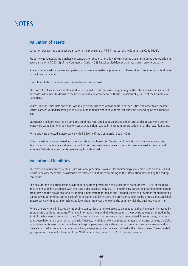# **NOTES**

### Valuation of assets

Valuation was carried out in accordance with the provisions of §§ 341 et seq. of the Commercial Code (HGB).

Property was valued at the purchase or construction cost less tax-allowable scheduled and unscheduled depreciation in accordance with § 253 (2) of the Commercial Code (HGB). Unscheduled depreciation was taken on one property.

Shares in affiliated companies and participations were valued on a purchase cost basis taking into account write-downs to the lower fair value.

Loans to affiliated companies were valued at acquisition cost.

The portfolio of securities was allocated to fixed assets or current assets depending on the intended use and valued at purchase cost less write-downs to the lower fair value in accordance with the provisions of § 341 b of the Commercial Code (HGB).

Shares, units in unit trusts and other variable-yield securities as well as bearer debt securities and other fixed-income securities were valued according to the strict or modified lower-of-cost-or-market principle depending on the intended use.

Mortgages and loans secured on land and buildings, registered debt securities, debentures and loans as well as other loans were valued at nominal value or cost of acquisition - taking into account amortisation - or at the lower fair value.

Write-ups were effected in accordance with § 280 (1) of the Commercial Code (HGB).

Other investments were carried as current assets at purchase cost. Deposits and cash at banks in current accounts, deposits and accounts receivable arising out of reinsurance operations and other debts were valued at the nominal amounts. Valuation adjustments were set up for default risks.

### Valuation of liabilities

The provision for unearned premiums, life insurance provision, provisions for outstanding claims, provisions for bonuses and rebates and other technical provisions were entered as liabilities according to the information provided by the ceding companies.

The basis for the valuation of the provision for unearned premiums is the reinsurance premium less 92.5% of the reinsurance commission in accordance with the NRW order dated 29 May 1974. In marine insurance the provision for unearned premiums and the provisions for outstanding claims were regarded as one unit and shown as provisions for outstanding claims. It was determined on the basis of the so-called English system. The provision is replaced by a provision established in accordance with general principles no later than three years following the year in which the business was written.

Where the provisions indicated by the ceding companies are not expected to be adequate, they have been increased by appropriate additional amounts. Where no information was available from cedants, the provisions were estimated in the light of the business experience to date. The results of new treaties were at least neutralised. In some cases, provisions have been determined on an actuarial basis. If necessary, additional or complete estimates of the corresponding portfolio or profit elements were carried out where ceding company accounts with substantial premium income were outstanding. Outstanding ceding company accounts involving a low premium income are included in the following year. The estimated gross premium income for treaties of the 2008 underwriting year is 30.2% of the total volume.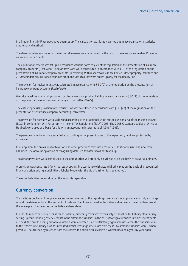In all major lines IBNR reserves have been set up. The calculation was largely carried out in accordance with statistical mathematical methods.

The shares of retrocessionaires in the technical reserves were determined on the basis of the reinsurance treaties. Provision was made for bad debts.

The equalisation reserve was set up in accordance with the notes to  $\S 29$  of the regulation on the presentation of insurance company accounts (RechVersV); similar provisions were constituted in accordance with § 30 of the regulation on the presentation of insurance company accounts (RechVersV). With respect to insurance lines 28 Other property insurance and 29 Other indemnity insurance, separate profit and loss accounts were drawn up only for the fidelity line.

The provision for nuclear plants was calculated in accordance with § 30 (2) of the regulation on the presentation of insurance company accounts (RechVersV).

We calculated the major risk provision for pharmaceutical product liability in accordance with § 30 (1) of the regulation on the presentation of insurance company accounts (RechVersV).

The catastrophe risk provision for terrorism risks was calculated in accordance with § 30 (2a) of the regulation on the presentation of insurance company accounts (RechVersV).

The provision for pensions was established according to the fractional value method as per § 6a of the Income Tax Act (EStG) in conjunction with Paragraph 41 Income Tax Regulations (EStR) 2003. The 2005 G standard tables of Dr. Klaus Heubeck were used as a basis for this with an accounting interest rate of 4.9% (4.9%).

The pension commitments are established according to the present value of the expectancy and are protected by insurance.

In our opinion, the provisions for taxation and other provisions take into account all identifiable risks and uncertain liabilities. The accounting option of recognising deferred tax assets was not taken up.

The other provisions were established in the amount that will probably be utilised or on the basis of actuarial opinions.

A provision was constituted for virtual stock options in accordance with actuarial principles on the basis of a recognised financial option pricing model (Black-Scholes Model with the aid of a trinomial tree method).

The other liabilities were valued at the amounts repayable.

### Currency conversion

Transactions booked in foreign currencies were converted to the reporting currency at the applicable monthly exchange rate at the date of entry in the accounts. Assets and liabilities entered in the balance sheet were converted to euros at the average exchange rates on the balance sheet date.

In order to reduce currency risks as far as possible, matching cover was extensively established for liability elements by setting up corresponding asset elements in the different currencies. In the case of foreign currencies in which investments are held, the profits arising out of revaluation were allocated – after offsetting against losses within the financial year – to the reserve for currency risks as unrealised profits. Exchange-rate losses from these investment currencies were – where possible – neutralised by releases from the reserve. In addition, this reserve is written back on a year-by-year basis.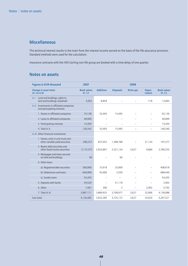### Miscellaneous

The technical interest results in the main from the interest income earned on the basis of the life assurance provision. Standard methods were used for the calculation.

Insurance contracts with the HDI-Gerling non-life group are booked with a time delay of one quarter.

### Notes on assets

| <b>Figures in EUR thousand</b>                                           | 2007                         |                          |                          | 2008                     |                          |                              |
|--------------------------------------------------------------------------|------------------------------|--------------------------|--------------------------|--------------------------|--------------------------|------------------------------|
| Change in asset items<br>A.I. to A.III.                                  | <b>Book values</b><br>31.12. | <b>Additions</b>         | <b>Disposals</b>         | <b>Write-ups</b>         | Depre-<br>ciation        | <b>Book values</b><br>31.12. |
| A.I. Land and buildings, rights to<br>land and buildings, leasehold      | 4,952                        | 8,859                    |                          |                          | 718                      | 13,093                       |
| A.II. Investments in affiliated companies<br>and participating interests |                              |                          |                          |                          |                          |                              |
| 1. Shares in affiliated companies                                        | 74,138                       | 33,493                   | 15,495                   |                          |                          | 92,136                       |
| 2. Loans to affiliated companies                                         | 40,000                       |                          |                          |                          |                          | 40,000                       |
| 3. Participating interests                                               | 14,204                       |                          | $\overline{\phantom{0}}$ |                          |                          | 14,204                       |
| 4. Total A.II.                                                           | 128,342                      | 33,493                   | 15,495                   |                          | $\overline{\phantom{0}}$ | 146,340                      |
| A. III. Other financial investments                                      |                              |                          |                          |                          |                          |                              |
| 1. Shares, units in unit trusts and<br>other variable-yield securities   | 690,257                      | 837,052                  | 1,308,798                |                          | 21,134                   | 197,377                      |
| 2. Bearer debt securities and<br>other fixed-income securities           | 2,173,575                    | 2,933,867                | 2,321,134                | 3.627                    | 9,680                    | 2,780,255                    |
| 3. Mortgages and loans secured<br>on land and buildings                  | 66                           |                          | 66                       |                          |                          |                              |
| 4. Other loans                                                           |                              |                          |                          |                          |                          |                              |
| a) Registered debt securities                                            | 360,000                      | 73,618                   | 25,000                   |                          |                          | 408,618                      |
| b) Debentures and loans                                                  | 646,999                      | 45,000                   | 3,559                    |                          |                          | 688,440                      |
| c) Sundry loans                                                          | 54,203                       | $\overline{\phantom{0}}$ | $\qquad \qquad -$        |                          |                          | 54,203                       |
| 5. Deposits with banks                                                   | 54,520                       | $\overline{\phantom{0}}$ | 51,118                   |                          |                          | 3,402                        |
| 6. Other                                                                 | 7,491                        | 396                      | $\overline{2}$           | $\overline{\phantom{0}}$ | 2,092                    | 5,793                        |
| 7. Total A. III.                                                         | 3,987,111                    | 3,889,933                | 3,709,677                | 3,627                    | 32,906                   | 4,138,088                    |
| Sum total                                                                | 4,120,405                    | 3,932,285                | 3,725,172                | 3,627                    | 33,624                   | 4,297,521                    |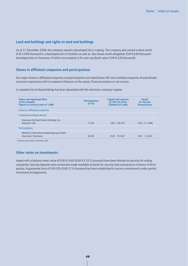#### Land and buildings and rights to land and buildings

As at 31 December 2008, the company owned a developed site in Leipzig. The company also owned a share worth EUR 2,599 thousand in a developed site in Frankfurt as well as two shares worth altogether EUR 9,549 thousand developed sites in Hannover, of which one property is for own use (book value: EUR 8,328 thousand).

#### Shares in affiliated companies and participations

Our major shares in affiliated companies and participations are listed below. We have omitted companies of subordinate economic importance with no material influence on the assets, financial position or net income.

A complete list of shareholdings has been deposited with the electronic company register.

| Name and registered office<br>of the company<br>Figures in currency units of 1,000 | <b>Participations</b><br>(in %) | <b>Capital and reserves</b><br>$(S 266 (3)$ of the<br><b>Commercial Code)</b> | <b>Result</b><br>for the last<br>financial year |
|------------------------------------------------------------------------------------|---------------------------------|-------------------------------------------------------------------------------|-------------------------------------------------|
| Shares in affiliated companies                                                     |                                 |                                                                               |                                                 |
| Companies resident abroad                                                          |                                 |                                                                               |                                                 |
| Hannover Re Real Estate Holdings, Inc.,<br>Orlando/USA                             | 13.49                           | USD 138,741                                                                   | USD (11,498)                                    |
| Participations                                                                     |                                 |                                                                               |                                                 |
| WeHaCo Unternehmensbeteiligungs-GmbH,<br>Hannover/Germany                          | 20.00                           | EUR 73.544 <sup>1</sup>                                                       | $11,638$ <sup>1</sup><br>EUR.                   |
|                                                                                    |                                 |                                                                               |                                                 |

*1) Financial year ending 31 December 2007*

#### Other notes on investments

Assets with a balance sheet value of EUR 47,045 (EUR 42,701) thousand have been blocked as security for ceding companies. Security deposits were sometimes made available to banks for security loan transactions in favour of third parties. A guarantee fund of EUR 205 (EUR 215) thousand has been established to secure commitments under partial retirement arrangements.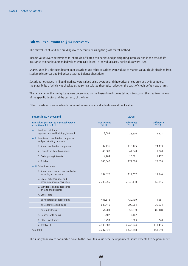#### Fair values pursuant to § 54 RechVersV

The fair values of land and buildings were determined using the gross rental method.

Income values were determined for shares in affiliated companies and participating interests, and in the case of life insurance companies embedded values were calculated. In individual cases, book values were used.

Shares, units in unit trusts, bearer debt securities and other securities were valued at market value. This is obtained from stock market prices and bid prices as at the balance sheet date.

Securities not traded in illiquid markets were valued using average and theoretical prices provided by Bloomberg, the plausibility of which was checked using self-calculated theoretical prices on the basis of credit default swap rates.

The fair values of the sundry loans were determined on the basis of yield curves, taking into account the creditworthiness of the specific debtor and the currency of the loan.

Other investments were valued at nominal values and in individual cases at book value.

| <b>Figures in EUR thousand</b>                                           |                              | 2008                         |                             |
|--------------------------------------------------------------------------|------------------------------|------------------------------|-----------------------------|
| Fair values pursuant to § 54 RechVersV of<br>asset items A.I. to A.III.  | <b>Book values</b><br>31.12. | <b>Fair values</b><br>31.12. | <b>Difference</b><br>31.12. |
| A.I. Land and buildings,<br>rights to land and buildings, leasehold      | 13,093                       | 25,600                       | 12,507                      |
| A.II. Investments in affiliated companies<br>and participating interests |                              |                              |                             |
| 1. Shares in affiliated companies                                        | 92,136                       | 116,475                      | 24,339                      |
| 2. Loans to affiliated companies                                         | 40,000                       | 41,840                       | 1,840                       |
| 3. Participating interests                                               | 14,204                       | 15,691                       | 1,487                       |
| 4. Total A.II.                                                           | 146,340                      | 174,006                      | 27,666                      |
| A. III. Other investments                                                |                              |                              |                             |
| 1. Shares, units in unit trusts and other<br>variable-yield securities   | 197,377                      | 211,617                      | 14,240                      |
| 2. Bearer debt securities and<br>other fixed-income securities           | 2,780,255                    | 2,846,410                    | 66,155                      |
| 3. Mortgages and loans secured<br>on land and buildings                  |                              |                              |                             |
| 4. Other loans                                                           |                              |                              |                             |
| a) Registered debt securities                                            | 408,618                      | 420,199                      | 11,581                      |
| b) Debentures and loans                                                  | 688,440                      | 709,064                      | 20,624                      |
| c) Sundry loans                                                          | 54,203                       | 52,819                       | (1, 384)                    |
| 5. Deposits with banks                                                   | 3,402                        | 3,402                        |                             |
| 6. Other investments                                                     | 5,793                        | 6,063                        | 270                         |
| 7. Total A.III.                                                          | 4,138,088                    | 4,249,574                    | 111,486                     |
| Sum total                                                                | 4,297,521                    | 4,449,180                    | 151,659                     |

The sundry loans were not marked down to the lower fair value because impairment ist not expected to be permanent.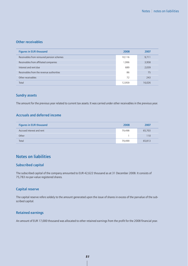#### Other receivables

| <b>Figures in EUR thousand</b>             | 2008   | 2007   |
|--------------------------------------------|--------|--------|
| Receivables from reinsured pension schemes | 10,116 | 9,711  |
| Receivables from affiliated companies      | 1,996  | 3,958  |
| Interest and rent due                      | 689    | 2,039  |
| Receivables from the revenue authorities   | 86     | 75     |
| Other receivables                          | 72     | 243    |
| Total                                      | 12,959 | 16,026 |

#### Sundry assets

The amount for the previous year related to current tax assets. It was carried under other receivables in the previous year.

### Accruals and deferred income

| <b>Figures in EUR thousand</b> | 2008   | 2007   |
|--------------------------------|--------|--------|
| Accrued interest and rent      | 79.498 | 65,703 |
| Other                          |        | 110    |
| Total                          | 79.499 | 65,813 |

### Notes on liabilities

#### Subscribed capital

The subscribed capital of the company amounted to EUR 42,622 thousand as at 31 December 2008. It consists of 75,783 no-par-value registered shares.

#### Capital reserve

The capital reserve refers soldely to the amount generated upon the issue of shares in excess of the parvalue of the subscribed capital.

#### Retained earnings

An amount of EUR 17,000 thousand was allocated to other retained earnings from the profit for the 2008 financial year.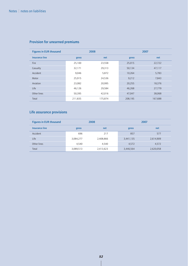| <b>Figures in EUR thousand</b> | 2008    |         |         | 2007    |
|--------------------------------|---------|---------|---------|---------|
| <b>Insurance line</b>          | gross   | net     | gross   | net     |
| Fire                           | 25,100  | 23,558  | 25,015  | 22,722  |
| Casualty                       | 32,171  | 29,313  | 50,134  | 47,117  |
| Accident                       | 9,046   | 5,872   | 10,264  | 5,783   |
| Motor                          | 25,915  | 24,536  | 9,212   | 7,843   |
| Aviation                       | 23,082  | 20,995  | 20,255  | 18,376  |
| Life                           | 46,126  | 29,584  | 46,268  | 27,779  |
| Other lines                    | 50,395  | 42,016  | 47,047  | 38,068  |
| Total                          | 211,835 | 175,874 | 208,195 | 167,688 |

# Provision for unearned premiums

# Life assurance provisions

| <b>Figures in EUR thousand</b> |           | 2008      | 2007      |           |  |
|--------------------------------|-----------|-----------|-----------|-----------|--|
| <b>Insurance line</b>          | gross     | net       | gross     | net       |  |
| Accident                       | 696       | 217       | 857       | 577       |  |
| Life                           | 3,084,277 | 2,408,866 | 3,441,135 | 2,614,909 |  |
| Other lines                    | 4,540     | 4,540     | 4,572     | 4,572     |  |
| Total                          | 3,089,513 | 2,413,623 | 3,446,564 | 2,620,058 |  |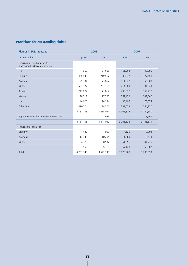# Provisions for outstanding claims

| <b>Figures in EUR thousand</b>                                    |              | 2008      |           | 2007      |
|-------------------------------------------------------------------|--------------|-----------|-----------|-----------|
| <b>Insurance line</b>                                             | net<br>gross |           | gross     | net       |
| Provision for reimbursements<br>and surrenders (except annuities) |              |           |           |           |
| Fire                                                              | 141,959      | 127,688   | 161,063   | 137,885   |
| Casualty                                                          | 1,409,943    | 1,219,967 | 1,335,542 | 1,127,451 |
| Accident                                                          | 125,794      | 73,852    | 111,627   | 56,309    |
| Motor                                                             | 1,503,122    | 1,261,360 | 1,414,509 | 1,181,043 |
| Aviation                                                          | 247,872      | 171,012   | 238,627   | 160,238   |
| Marine                                                            | 198,311      | 177,725   | 162,432   | 141,560   |
| Life                                                              | 144,020      | 124,134   | 95,406    | 73,874    |
| Other lines                                                       | 410,174      | 298,306   | 387,622   | 264,320   |
|                                                                   | 4,181,195    | 3,454,044 | 3,906,828 | 3,142,680 |
| Separate value adjustment on retrocessions                        | -            | 22,986    |           | 3,991     |
|                                                                   | 4,181,195    | 3,477,030 | 3,906,828 | 3,146,671 |
| Provision for annuities                                           |              |           |           |           |
| Casualty                                                          | 4,422        | 4,089     | 4,120     | 3,803     |
| Accident                                                          | 13,348       | 10,294    | 11,069    | 8,444     |
| Motor                                                             | 64,183       | 50,932    | 51,951    | 41,735    |
|                                                                   | 81,953       | 65,315    | 67,140    | 53,982    |
| Total                                                             | 4,263,148    | 3,542,345 | 3,973,968 | 3,200,653 |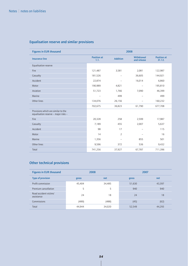| <b>Figures in EUR thousand</b>                                              | 2008                       |                 |                           |                              |  |  |
|-----------------------------------------------------------------------------|----------------------------|-----------------|---------------------------|------------------------------|--|--|
| <b>Insurance line</b>                                                       | <b>Position at</b><br>1.1. | <b>Addition</b> | Withdrawal<br>and release | <b>Position at</b><br>31.12. |  |  |
| Equalisation reserve                                                        |                            |                 |                           |                              |  |  |
| Fire                                                                        | 121,487                    | 3,581           | 2,081                     | 122,987                      |  |  |
| Casualty                                                                    | 181,526                    |                 | 36,605                    | 144,921                      |  |  |
| Accident                                                                    | 22,874                     |                 | 16,014                    | 6,860                        |  |  |
| Motor                                                                       | 190,989                    | 4,821           | $\qquad \qquad -$         | 195,810                      |  |  |
| Aviation                                                                    | 51,723                     | 1,766           | 7,090                     | 46,399                       |  |  |
| Marine                                                                      | $\qquad \qquad -$          | 499             |                           | 499                          |  |  |
| Other lines                                                                 | 134,076                    | 26,156          | $\qquad \qquad -$         | 160,232                      |  |  |
|                                                                             | 702,675                    | 36,823          | 61,790                    | 677,708                      |  |  |
| Provisions which are similar to the<br>equalisation reserve - major risks - |                            |                 |                           |                              |  |  |
| Fire                                                                        | 20,328                     | 258             | 2,599                     | 17,987                       |  |  |
| Casualty                                                                    | 7,189                      | 455             | 2,007                     | 5,637                        |  |  |
| Accident                                                                    | 98                         | 17              | $\overline{\phantom{0}}$  | 115                          |  |  |
| Motor                                                                       | 14                         | 2               |                           | 16                           |  |  |
| Marine                                                                      | 1,356                      | -               | 855                       | 501                          |  |  |
| Other lines                                                                 | 9,596                      | 372             | 536                       | 9,432                        |  |  |
| Total                                                                       | 741,256                    | 37,927          | 67,787                    | 711,396                      |  |  |

# Equalisation reserve and similar provisions

# Other technical provisions

| <b>Figures in EUR thousand</b>       | 2008   |        | 2007   |        |  |
|--------------------------------------|--------|--------|--------|--------|--|
| <b>Type of provision</b>             | gross  | net    | gross  | net    |  |
| Profit commission                    | 45,404 | 34,485 | 51,630 | 43,397 |  |
| Premium cancellation                 | 5      | 5      | 940    | 940    |  |
| Road accident victims'<br>assistance | 24     | 18     | 24     | 18     |  |
| Commissions                          | (489)  | (488)  | (45)   | (62)   |  |
| Total                                | 44,944 | 34,020 | 52,549 | 44,293 |  |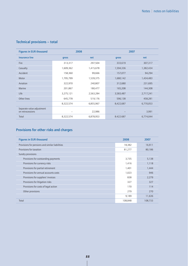### Technical provisions – total

| <b>Figures in EUR thousand</b>                | 2008      |           | 2007      |           |
|-----------------------------------------------|-----------|-----------|-----------|-----------|
| <b>Insurance line</b>                         | gross     | net       | gross     | net       |
| <b>Fire</b>                                   | 313,317   | 297,504   | 333,619   | 307,317   |
| Casualty                                      | 1,609,362 | 1,415,678 | 1,594,336 | 1,382,434 |
| Accident                                      | 158,360   | 99,666    | 157,077   | 94,294    |
| Motor                                         | 1,795,799 | 1,539,375 | 1,680,142 | 1,434,483 |
| Aviation                                      | 322,970   | 240,807   | 312,680   | 231,695   |
| Marine                                        | 201,867   | 180,477   | 165,208   | 144,308   |
| Life                                          | 3,275,121 | 2,563,284 | 3,583,487 | 2,717,241 |
| Other lines                                   | 645,778   | 519,176   | 596,138   | 458,281   |
|                                               | 8,322,574 | 6,855,967 | 8,422,687 | 6,770,053 |
| Separate value adjustment<br>on retrocessions |           | 22,986    |           | 3,991     |
| Total                                         | 8,322,574 | 6,878,953 | 8.422.687 | 6,774,044 |

# Provisions for other risks and charges

| <b>Figures in EUR thousand</b>                  | 2008    | 2007    |
|-------------------------------------------------|---------|---------|
| Provisions for pensions and similar liabilities | 18,382  | 16,911  |
| Provisions for taxation                         | 81,277  | 80,186  |
| Sundry provisions                               |         |         |
| Provisions for outstanding payments             | 3,735   | 5,138   |
| Provisions for currency risks                   | 1,416   | 1,118   |
| Provisions for partial retirement               | 1,401   | 1,444   |
| Provisions for annual accounts costs            | 1,023   | 946     |
| Provisions for suppliers' invoices              | 838     | 2,279   |
| Provisions for litigation risks                 | 327     | 327     |
| Provisions for costs of legal action            | 170     | 114     |
| Other provisions                                | 279     | 270     |
|                                                 | 9,189   | 11,636  |
| Total                                           | 108,848 | 108,733 |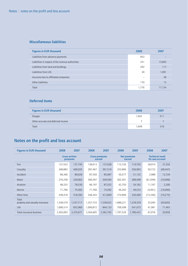### Miscellaneous liabilities

| <b>Figures in EUR thousand</b>                    | 2008  | 2007   |
|---------------------------------------------------|-------|--------|
| Liabilities from advance payments                 | 953   |        |
| Liabilities in respect of the revenue authorities | 331   | 15,893 |
| Liabilities from land and buildings               | 292   | 117    |
| Liabilities from LOC                              | 30    | 1,091  |
| Accounts due to affiliated companies              |       | 38     |
| Other liabilities                                 | 170   | 15     |
| Total                                             | 1,776 | 17,154 |

### Deferred items

| <b>Figures in EUR thousand</b>     | 2008  | 2007 |
|------------------------------------|-------|------|
| Disagio                            | 1,042 | 511  |
| Other accruals and deferred income |       |      |
| Total                              | 1.049 | 518  |

# Notes on the profit and loss account

| <b>Figures in EUR thousand</b>           | 2008      | 2007                             | 2008      | 2007                            | 2008      | 2007                          | 2008      | 2007                                       |
|------------------------------------------|-----------|----------------------------------|-----------|---------------------------------|-----------|-------------------------------|-----------|--------------------------------------------|
|                                          |           | <b>Gross written</b><br>premiums |           | <b>Gross premiums</b><br>earned |           | <b>Net premiums</b><br>earned |           | <b>Technical result</b><br>for own account |
| <b>Fire</b>                              | 137,553   | 137,745                          | 138,013   | 137,638                         | 115,726   | 110,703                       | 38,974    | 37,356                                     |
| Casualty                                 | 268,883   | 400,035                          | 287,467   | 391,510                         | 255,896   | 356,993                       | 50,722    | (48,447)                                   |
| Accident                                 | 86,366    | 89,628                           | 87,550    | 85,087                          | 50,377    | 51,132                        | 2,988     | 12,720                                     |
| Motor                                    | 376,258   | 339,003                          | 360,397   | 349,594                         | 302,301   | 289,408                       | (61,049)  | (19,099)                                   |
| Aviation                                 | 68,335    | 78,530                           | 66,197    | 87,552                          | 42,750    | 54,182                        | 11,767    | 2,200                                      |
| Marine                                   | 71,766    | 74,382                           | 71,766    | 74,382                          | 46,265    | 46,532                        | (3,061)   | (16,060)                                   |
| Other lines                              | 349,418   | 418,394                          | 346,343   | 412,869                         | 274,906   | 330,409                       | (15, 246) | (19, 275)                                  |
| Total<br>property and casualty insurance | 1,358,579 | 1,537,717                        | 1,357,733 | 1,538,632                       | 1,088,221 | 1,239,359                     | 25,095    | (50, 605)                                  |
| Life                                     | 1,006,514 | 832,960                          | 1,006,872 | 844,133                         | 709,308   | 541,073                       | 41,981    | 71,463                                     |
| Total insurance business                 | 2,365,093 | 2,370,677                        | 2,364,605 | 2,382,765                       | 1,797,529 | 1,780,432                     | 67,076    | 20,858                                     |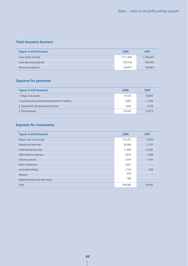### Total insurance business

| Figures in EUR thousand  | 2008      | 2007      |
|--------------------------|-----------|-----------|
| Gross claims incurred    | 1,571,965 | 1,700,347 |
| Gross operating expenses | 529,558   | 562,409   |
| Reinsurance balance      | 158,037   | 108,963   |

### Expenses for personnel

| <b>Figures in EUR thousand</b>                       | 2008   | 2007   |
|------------------------------------------------------|--------|--------|
| 1. Wages and salaries                                | 19,103 | 18,894 |
| 2. Social security payments and expenses for welfare | 2,882  | 2,766  |
| 3. Expenses for old-age pension scheme               | 1.609  | 3,259  |
| 4. Total expenses                                    | 23,594 | 24,919 |

# Expenses for investments

| <b>Figures in EUR thousand</b><br>2008<br>2007<br>Shares, units in unit trusts<br>129,297<br>9,039<br>Deposit and bank fees<br>28,909 |       |
|---------------------------------------------------------------------------------------------------------------------------------------|-------|
|                                                                                                                                       |       |
|                                                                                                                                       |       |
|                                                                                                                                       | 2,193 |
| Fixed-income securities<br>11,880<br>13,387                                                                                           |       |
| 7,859<br>7,609<br>Administrative expenses                                                                                             |       |
| Options contracts<br>3,059<br>1,749                                                                                                   |       |
| Other investments<br>2,091                                                                                                            |       |
| Land and buildings<br>1,744                                                                                                           | 628   |
| 959<br>Deposits                                                                                                                       |       |
| 788<br>Registered bards and other loans                                                                                               |       |
| Total<br>186,586<br>34,605                                                                                                            |       |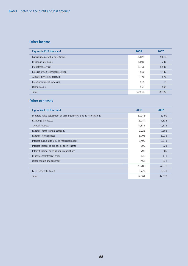### Other income

| <b>Figures in EUR thousand</b>      | 2008   | 2007   |
|-------------------------------------|--------|--------|
| Cancellation of value adjustments   | 6,879  | 9,610  |
| Exchange rate gains                 | 6,030  | 7,246  |
| Profit from services                | 5,706  | 6,936  |
| Release of non-technical provisions | 1,660  | 4,440  |
| Allocated investment return         | 1,178  | 578    |
| Reinbursement of expenses           | 585    | 15     |
| Other income                        | 551    | 595    |
| Total                               | 22,589 | 29,420 |

### Other expenses

| <b>Figures in EUR thousand</b>                                     | 2008   | 2007   |
|--------------------------------------------------------------------|--------|--------|
| Separate value adjustment on accounts receivable and retrocessions | 27,943 | 3,499  |
| Exchange rate losses                                               | 13,044 | 11,835 |
| Deposit interest                                                   | 11,871 | 12,613 |
| Expenses for the whole company                                     | 9,023  | 7,383  |
| <b>Expenses from services</b>                                      | 5,706  | 6,935  |
| Interest pursuant to § 233a AO (Fiscal Code)                       | 3,409  | 13,373 |
| Interest charges on old-age pension scheme                         | 892    | 723    |
| Interest charges on reinsurance operations                         | 795    | 385    |
| Expenses for letters of credit                                     | 139    | 141    |
| Other interest and expenses                                        | 463    | 631    |
|                                                                    | 73,285 | 57,518 |
| Less: Technical interest                                           | 8,724  | 9,839  |
| Total                                                              | 64,561 | 47,679 |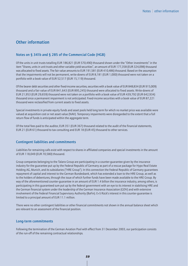### Other information

#### Notes on § 341b and § 285 of the Commercial Code (HGB)

Of the units in unit trusts totalling EUR 186,821 (EUR 570,490) thousand shown under the "Other investments" in the item "Shares, units in unit trusts and other variable-yield securities", an amount of EUR 177,358 (EUR 324,098) thousand was allocated to fixed assets. The fair value amounts to EUR 191,581 (EUR 410,486) thousand. Based on the assumption that the impairments will not be permanent, write-downs of EUR 8,181 (EUR 1,000) thousand were not taken on a portfolio with a book value of EUR 52,517 (EUR 15,119) thousand.

Of the bearer debt securities and other fixed-income securities, securities with a book value of EUR 848,834 (EUR 915,009) thousand and a fair value of EUR 841,643 (EUR 895,245) thousand were allocated to fixed assets. Write-downs of EUR 21,953 (EUR 29,659) thousand were not taken on a portfolio with a book value of EUR 439,792 (EUR 642,934) thousand since a permanent impairment is not anticipated. Fixed-income securities with a book value of EUR 87,221 thousand were reclassified from current assets to fixed assets.

Special investments in private equity funds and asset pools held long term for which no market price was available were valued at acquisition cost or net asset value (NAV). Temporary impairments were disregarded to the extent that a full return flow of funds is anticipated within the aggregate term.

Of the total fees paid to the auditor, EUR 351 (EUR 367) thousand related to the audit of the financial statements, EUR 21 (EUR 61) thousand to tax consulting and EUR 18 (EUR 45) thousand to other services.

#### Contingent liabilities and commitments

Liabilities for remaining calls exist with respect to shares in affiliated companies and special investments in the amount of EUR 118,049 (EUR 70,580) thousand.

Group companies belonging to the Talanx Group are participating in a counter-guarantee given by the insurance industry for the guarantee put up by the Federal Republic of Germany as part of a rescue package for Hypo Real Estate Holding AG, Munich, and its subsidiaries ("HRE Group"). In this connection the Federal Republic of Germany guarantees repayment of capital and interest to the German Bundesbank, which has extended a loan to the HRE Group, as well as to the holders of debentures, through the issue of which further funds have been made available to the HRE Group. By way of the aforementioned counter-guarantee in an amount of EUR 1.4 billion the insurance industry, among others, is participating in this guaranteed sum put up by the federal government with an eye to its interest in stabilising HRE and the German financial system under the leadership of the German Insurance Association (GDV) and with extensive involvement of the Federal Financial Supervisory Authority (BaFin). E+S Rück's interest in this counter-guarantee is limited to a principal amount of EUR 11.1 million.

There were no other contingent liabilities or other financial commitments not shown in the annual balance sheet which are relevant to an assessment of the financial position.

#### Long-term commitments

Following the termination of the German Aviation Pool with effect from 31 December 2003, our participation consists of the run-off of the remaining contractual relationships.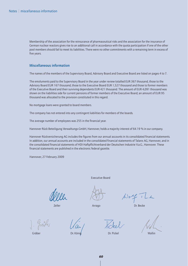Membership of the association for the reinsurance of pharmaceutical risks and the association for the insurance of German nuclear reactors gives rise to an additional call in accordance with the quota participation if one of the other pool members should fail to meet its liabilities. There were no other commitments with a remaining term in excess of five years.

#### Miscellaneous information

The names of the members of the Supervisory Board, Advisory Board and Executive Board are listed on pages 4 to 7.

The emoluments paid to the Supervisory Board in the year under review totalled EUR 367 thousand, those to the Advisory Board EUR 167 thousand, those to the Executive Board EUR 1,527 thousand and those to former members of the Executive Board and their surviving dependants EUR 421 thousand. The amount of EUR 4,091 thousand was shown on the liabilities side for current pensions of former members of the Executive Board; an amount of EUR 95 thousand was allocated to the provision constituted in this regard.

No mortgage loans were granted to board members.

The company has not entered into any contingent liabilities for members of the boards.

The average number of employees was 255 in the financial year.

Hannover Rück Beteiligung Verwaltungs-GmbH, Hannover, holds a majority interest of 64.19 % in our company.

Hannover Rückversicherung AG includes the figures from our annual accounts in its consolidated financial statements. In addition, our annual accounts are included in the consolidated financial statements of Talanx AG, Hannover, and in the consolidated financial statements of HDI Haftpflichtverband der Deutschen Industrie V.a.G., Hannover. These financial statements are published in the electronic federal gazette.

Hannover, 27 February 2009

Executive Board

Zeller **Arrago** Dr. Becke

Gräber Dr. König Dr. Pickel Wallin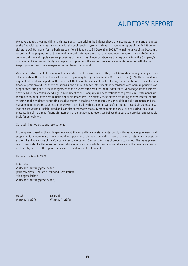# AUDITORS' REPORT

We have audited the annual financial statements – comprising the balance sheet, the income statement and the notes to the financial statements – together with the bookkeeping system, and the management report of the E+S Rückversicherung AG, Hannover, for the business year from 1 January to 31 December 2008. The maintenance of the books and records and the preparation of the annual financial statements and management report in accordance with German commercial law and supplementary provisions of the articles of incorporation are the responsibility of the Company's management. Our responsibility is to express an opinion on the annual financial statements, together with the bookkeeping system, and the management report based on our audit.

We conducted our audit of the annual financial statements in accordance with § 317 HGB and German generally accepted standards for the audit of financial statements promulgated by the Institut der Wirtschaftsprüfer (IDW). Those standards require that we plan and perform the audit such that misstatements materially affecting the presentation of the net assets, financial position and results of operations in the annual financial statements in accordance with German principles of proper accounting and in the management report are detected with reasonable assurance. Knowledge of the business activities and the economic and legal environment of the Company and expectations as to possible misstatements are taken into account in the determination of audit procedures. The effectiveness of the accounting-related internal control system and the evidence supporting the disclosures in the books and records, the annual financial statements and the management report are examined primarily on a test basis within the framework of the audit. The audit includes assessing the accounting principles used and significant estimates made by management, as well as evaluating the overall presentation of the annual financial statements and management report. We believe that our audit provides a reasonable basis for our opinion.

Our audit has not led to any reservations.

In our opinion based on the findings of our audit, the annual financial statements comply with the legal requirements and supplementary provisions of the articles of incorporation and give a true and fair view of the net assets, financial position and results of operations of the Company in accordance with German principles of proper accounting. The management report is consistent with the annual financial statements and as a whole provides a suitable view of the Company's position and suitably presents the opportunities and risks of future development.

Hannover, 2 March 2009

KPMG AG Wirtschaftsprüfungsgesellschaft (formerly KPMG Deutsche Treuhand-Gesellschaft Aktiengesellschaft Wirtschaftsprüfungsgesellschaft)

Husch Dr. Dahl Wirtschaftsprüfer Wirtschaftsprüfer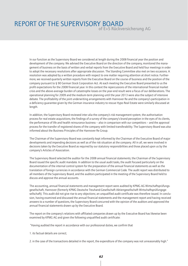### REPORT OF THE SUPERVISORY BOARD of E+S Rückversicherung AG

In our function as the Supervisory Board we considered at length during the 2008 financial year the position and development of the company. We advised the Executive Board on the direction of the company, monitored the management of business on the basis of written and verbal reports from the Executive Board and held four meetings in order to adopt the necessary resolutions after appropriate discussion. The Standing Committee also met on two occasions. A resolution was adopted by a written procedure with respect to one matter requiring attention at short notice. Furthermore, we received quarterly written reports from the Executive Board on the course of business and the position of the company pursuant to § 90 German Stock Corporation Act. At each meeting the Executive Board presented to us the profit expectations for the 2008 financial year. In this context the repercussions of the international financial market crisis and the above-average burden of catastrophe losses on the year-end result were a focus of our deliberations. The operational planning for 2009 and the medium-term planning until the year 2013 were also the subject of intensive debate. The profitability of the joint underwriting arrangements with Hannover Re and the company's participation in a deficiency guarantee given by the German insurance industry to rescue Hypo Real Estate were similarly discussed at length.

In addition, the Supervisory Board reviewed inter alia the company's risk management system, the authorisation process for real estate acquisitions, the findings of a survey of the company's brand perception in the eyes of its clients, the performance of life and health reinsurance business – also in comparison with our competitors – and the approval process for the transfer of registered shares of the company with limited transferability. The Supervisory Board was also informed about the Business Principles of the Hannover Re Group.

The Chairman of the Supervisory Board was constantly kept informed by the Chairman of the Executive Board of major developments and impending decisions as well as of the risk situation at the company. All in all, we were involved in decisions taken by the Executive Board as required by our statutory responsibilities and those placed upon us by the company's Articles of Association.

The Supervisory Board selected the auditor for the 2008 annual financial statements; the Chairman of the Supervisory Board issued the specific audit mandate. In addition to the usual audit tasks, the audit focused particularly on the documentation of the internal control system for the preparation of the annual financial statements as well as the translation of foreign currencies in accordance with the German Commercial Code. The audit report was distributed to all members of the Supervisory Board, and the auditors participated in the meeting of the Supervisory Board held to discuss and approve the annual accounts.

The accounting, annual financial statements and management report were audited by KPMG AG Wirtschaftsprüfungsgesellschaft, Hannover (formerly KPMG Deutsche Treuhand-Gesellschaft Aktiengesellschaft Wirtschaftsprüfungsgesellschaft). This audit did not give rise to any objections; an unqualified audit certificate was therefore issued. In conclusion, having examined and discussed the annual financial statements and the management report and having received answers to a number of questions, the Supervisory Board concurred with the opinion of the auditors and approved the annual financial statements drawn up by the Executive Board.

The report on the company's relations with affiliated companies drawn up by the Executive Board has likewise been examined by KPMG AG and given the following unqualified audit certificate:

"Having audited the report in accordance with our professional duties, we confirm that

1. its factual details are correct;

2. in the case of the transactions detailed in the report, the expenditure of the company was not unreasonably high."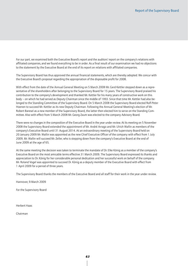For our part, we examined both the Executive Board's report and the auditors' report on the company's relations with affiliated companies, and we found everything to be in order. As a final result of our examination we had no objections to the statement by the Executive Board at the end of its report on relations with affiliated companies.

The Supervisory Board has thus approved the annual financial statements, which are thereby adopted. We concur with the Executive Board's proposal regarding the appropriation of the disposable profit for 2008.

With effect from the date of the Annual General Meeting on 5 March 2008 Mr. Gerd Kettler stepped down as a representative of the shareholders after belonging to the Supervisory Board for 15 years. The Supervisory Board praised his contribution to the company's development and thanked Mr. Kettler for his many years of constructive work on this body – on which he had served as Deputy Chairman since the middle of 1993. Since that time Mr. Kettler had also belonged to the Standing Committee of the Supervisory Board. On 5 March 2008 the Supervisory Board elected Rolf-Peter Hoenen to succeed Mr. Kettler as its new Deputy Chairman. Following the Annual General Meeting's election of Mr. Robert Baresel as a new member of the Supervisory Board, the latter then elected him to serve on the Standing Committee. Also with effect from 5 March 2008 Mr. Georg Zaum was elected to the company Advisory Board.

There were no changes in the composition of the Executive Board in the year under review. At its meeting on 5 November 2008 the Supervisory Board extended the appointment of Mr. André Arrago and Mr. Ulrich Wallin as members of the company's Executive Board until 31 August 2014. At an extraordinary meeting of the Supervisory Board held on 20 January 2009 Mr. Wallin was appointed as the new Chief Executive Officer of the company with effect from 1 July 2009. Mr. Wallin will succeed Mr. Zeller, who is stepping down from the company's Executive Board at the end of June 2009 at the age of 65.

At the same meeting the decision was taken to terminate the mandate of Dr. Elke König as a member of the company's Executive Board on the most amicable terms effective 31 March 2009. The Supervisory Board expressed its thanks and appreciation to Dr. König for her considerable personal dedication and her successful work on behalf of the company. Mr. Roland Vogel was appointed to succeed Dr. König as a deputy member of the Executive Board with effect from 1 April 2009 for a period of three years.

The Supervisory Board thanks the members of the Executive Board and all staff for their work in the year under review.

Hannover, 9 March 2009

For the Supervisory Board

Herbert Haas

Chairman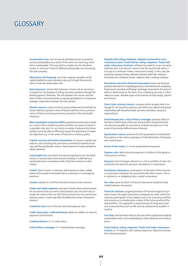# **GLOSSARY**

Accumulation loss: sum of several individual losses incurred by various policyholders as a result of the same loss event (e.g. windstorm, earthquake). This may lead to a higher loss for the direct insurer or reinsurer if several affected policyholders are insured by the said company.

Alternative risk financing: use of the capacity available on the capital markets to cover insurance risks, e.g. through the securitisation of natural catastrophe risks.

Bancassurance: partnership between a bank and an insurance company for the purpose of selling insurance products through the banking partner's branches. The link between the insurer and the bank is often characterised by an equity participation or a long-term strategic cooperation between the two parties.

Benefit reserves: value arrived at using mathematical methods for future liabilities (present value of future liabilities minus present value of future incoming premium), primarily in life and health insurance.

Block assumption transaction (BAT): proportional reinsurance treaty on a client's life or health insurance portfolio, by means of which it is possible, inter alia, for our clients to realise in advance the future profits so as to be able to efficiently ensure the attainment of corporate objectives, e.g. in the areas of financial or solvency policy.

Capital, reserves and technical provisions: an insurer's capital and reserves, also including the provisions committed to technical business and the equalisation reserve. Total maximum funds available to offset liabilities.

Catastrophe loss: loss which has special significance for the direct insurer or reinsurer due to the amount involved; it is defined as a catastrophe loss in accordance with a fixed loss amount or other criteria.

Cedant: direct insurer or reinsurer which passes on (also: cedes) shares of its insured or reinsured risks to a reinsurer in exchange for premium.

Cession: transfer of a risk from the direct insurer to the reinsurer.

Claims and claims expenses: sum total of paid claims and provisions for loss events that occurred in the business year; this item also includes the result of the run-off of the provisions for loss events from previous years, in each case after the deduction of own reinsurance cessions.

Combined ratio: sum of the loss ratio and expense ratio.

Credit status (also: creditworthiness): ability of a debtor to meet its payment commitments.

Creditworthiness: cf. ➞ credit status

Critical illness coverages: cf. ➞ dread disease coverages

Deposits with ceding companies/deposits received from retrocessionaires (also: Funds held by ceding companies/funds held under reinsurance treaties): collateral provided to cover insurance liabilities that a (re-)insurer retains from the liquid funds which it is to pay to a reinsurer under a reinsurance treaty. In this case, the retaining company shows a deposit received, while the company furnishing the collateral shows a deposit with a ceding company.

Derivatives, derivative financial instruments: these are financial products derived from underlying primary instruments such as equities, fixed-income securities and foreign exchange instruments, the price of which is determined on the basis of an underlying security or other reference asset. Notable types of derivatives include swaps, options and futures.

Direct (also: primary) insurer: company which accepts risks in exchange for an insurance premium and which has a direct contractual relationship with the policyholder (private individual, company, organisation).

Dread disease (also: critical illness) coverages: personal riders on the basis of which parts of the sum insured which would otherwise only become payable on occurrence of death are paid out in the event of previously defined severe illnesses.

Equalisation reserve: provision for the equalisation of substantial fluctuations in the claims experience of individual lines of business over several years.

Excess of loss treaty:  $cf. \rightarrow$  non-proportional reinsurance

Expense ratio: administrative expenses in relation to the (gross or net) premium written.

Exposure: level of danger inherent in a risk or portfolio of risks; this constitutes the basis for premium calculations in reinsurance.

Facultative reinsurance: participation on the part of the reinsurer in a particular individual risk assumed by the direct insurer. This is in contrast to  $\rightarrow$  obligatory (also: treaty) reinsurance.

Fair value: price at which a financial instrument would be freely traded between two parties.

Financial solutions: targeted provision of financial support for primary insurers through reinsurance arrangements under which the reinsurer participates in the original costs of an insurance portfolio and receives as a consideration a share of the future profits of the said portfolio. This approach is used primarily for long-term products in personal lines, such as life, annuity and personal accident insurance.

Free float: the free float refers to the part of the capital stock held by shareholders with a low stockholding in both absolute and relative terms.

Funds held by ceding companies/funds held under reinsurance treaties:  $cf. \rightarrow$  Deposits with ceding companies/deposits received from retrocessionaires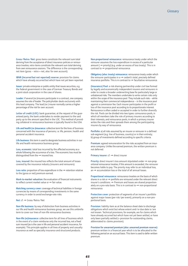Gross/Retro/Net: gross items constitute the relevant sum total deriving from the acceptance of direct insurance policies or reinsurance treaties; retro items constitute the relevant sum total deriving from own reinsurance cessions. The difference is the corresponding net item (gross – retro = net, also: for own account).

IBNR (Incurred but not reported) reserve: provision for claims which have already occurred but which have not yet been reported.

Issuer: private enterprise or public entity that issues securities, e.g. the federal government in the case of German Treasury Bonds and a joint-stock corporation in the case of shares.

Leader: if several (re-)insurers participate in a contract, one company assumes the role of leader. The policyholder deals exclusively with this lead company. The lead (re-) insurer normally carries a higher percentage of the risk for own account.

Letter of credit (LOC): bank quarantee; at the request of the quaranteed party, the bank undertakes to render payment to the said party up to the amount specified in the LOC. This method of providing collateral in reinsurance business is typically found in the USA.

Life and health (re-)insurance: collective term for the lines of business concerned with the insurance of persons, i.e. life, pension, health and personal accident insurance.

Life business: this term is used to designate business activities in our life and health reinsurance business group.

Loss, economic: total loss incurred by the affected economy as a whole following the occurrence of a loss. The economic loss must be distinguished from the  $\rightarrow$  insured loss.

Loss, insured: the insured loss reflects the total amount of losses covered by the insurance industry (insurers and reinsurers).

Loss ratio: proportion of loss expenditure in the  $\rightarrow$  retention relative to the (gross or net) premium earned.

Mark-to-market valuation: the evaluation of financial instruments to reflect current market value or  $\rightarrow$  fair value.

Matching currency cover: coverage of technical liabilities in foreign currencies by means of corresponding investments in the same currency in order to avoid exchange-rate risks.

Net: cf. ➞ Gross/Retro/Net

Non-life business: by way of distinction from business activities in our life and health reinsurance business group, we use this umbrella term to cover our lines of non-life reinsurance business.

Non-life (re)insurance: collective term for all lines of business which in the event of a claim reimburse only the incurred loss, not a fixed sum insured (as is the case in life and personal accident insurance, for example). This principle applies in all lines of property and casualty insurance as well as specialty insurance and structured products.

Non-proportional reinsurance: reinsurance treaty under which the reinsurer assumes the loss expenditure in excess of a particular amount ( $\rightarrow$  priority) (e.g. under an excess of loss treaty). This is in contrast to  $\rightarrow$  proportional reinsurance.

Obligatory (also: treaty) reinsurance: reinsurance treaty under which the reinsurer participates in  $a \rightarrow$  cedant's total, precisely defined insurance portfolio. This is in contrast to  $\rightarrow$  facultative reinsurance.

(Insurance) Pool: a risk-sharing partnership under civil law formed by legally and economically independent insurers and reinsurers in order to create a broader underwriting base for particularly large or unbalanced risks. The members undertake to write certain risks only within the scope of the insurance pool. They include such risks – while maintaining their commercial independence – in the insurance pool against a commission fee. Each insurer participates in the profit or loss of the insurance pool according to its proportionate interest. Reinsurance is often ceded or accepted in order to further diversify the risk. Pools can be divided into two types: coinsurance pools, in which all members take the role of primary insurers according to their interests, and reinsurance pools, in which a primary insurer writes the risks and then spreads them among the participating insurers by way of reinsurance.

Portfolio: a) all risks assumed by an insurer or reinsurer in a defined sub-segment (e.g. line of business, country) or in their entirety; b) group of investments defined according to specific criteria.

Premium: agreed remuneration for the risks accepted from an insurance company. Unlike the earned premium, the written premium is not deferred.

Primary insurer:  $cf. \rightarrow$  direct insurer

**Priority:** direct insurer's loss amount stipulated under  $\rightarrow$  non-proportional reinsurance treaties; if this amount is exceeded, the reinsurer becomes liable to pay. The priority may refer to an individual loss, an → accumulation loss or the total of all annual losses.

Proportional reinsurance: reinsurance treaties on the basis of which shares in a risk or  $\rightarrow$  portfolio are reinsured under the relevant direct insurer's conditions. ➞ Premium and losses are shared proportionately on a pro-rata basis. This is in contrast to  $\rightarrow$  non-proportional reinsurance.

Protection cover: protection of segments of an insurer's portfolio against major losses (per risk/per event), primarily on a non-proportional basis.

Provision: liability item as at the balance sheet date to discharge obligations which exist but whose extent and/or due date is/are not known. Technical provisions, for example, are for claims which have already occurred but which have not yet been settled, or have only been partially settled (= provision for outstanding claims, abbreviated to: claims provision).

Provision for unearned premium (also: unearned premium reserve): premium written in a financial year which is to be allocated to the following period on an accrual basis. This item is used to defer written premium.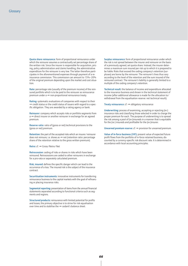Quota share reinsurance: form of proportional reinsurance under which the reinsurer assumes a contractually set percentage share of the written risk. Since the insurer is responsible for acquisition, pricing, policy administration and claims handling, the administrative expenditure for the reinsurer is very low. The latter therefore participates in the aforementioned expenses through payment of a reinsurance commission. This commission can amount to 15%–20% of the original premium depending upon the market and cost situation.

Rate: percentage rate (usually of the premium income) of the reinsured portfolio which is to be paid to the reinsurer as reinsurance premium under  $a \rightarrow$  non-proportional reinsurance treaty.

Rating: systematic evaluations of companies with respect to their ➞ credit status or the credit status of issuers with regard to a specific obligation. They are awarded by a rating agency or bank.

Reinsurer: company which accepts risks or portfolio segments from a ➞ direct insurer or another reinsurer in exchange for an agreed premium.

Reserve ratio: ratio of (gross or net) technical provisions to the (gross or net) premium.

Retention: the part of the accepted risks which an insurer/reinsurer does not reinsure, i.e. shows as  $\rightarrow$  net (retention ratio: percentage share of the retention relative to the gross written premium).

#### Retro: cf. ➞ Gross/Retro/Net

Retrocession: ceding of risks or shares in risks which have been reinsured. Retrocessions are ceded to other reinsurers in exchange for a pro-rata or separately calculated premium.

Risk, insured: defines the specific danger which can lead to the occurrence of a loss. The insured risk is the subject of the insurance contract.

Securitisation instruments: innovative instruments for transferring reinsurance business to the capital markets with the goal of refinancing or placing insurance risks.

Segmental reporting: presentation of items from the annual financial statements separated according to functional criteria such as segments and regions.

Structured products: reinsurance with limited potential for profits and losses; the primary objective is to strive for risk equalisation over time and to stabilise the  $\rightarrow$  cedant's balance sheet.

Surplus reinsurance: form of proportional reinsurance under which the risk is not spread between the insurer and reinsurer on the basis of a previously agreed, set quota share. Instead, the insurer determines a maximum sum insured per risk up to which it is prepared to be liable. Risks that exceed the ceding company's retention (surpluses) are borne by the reinsurer. The reinsurer's lines thus vary according to the level of the retention and the sum insured of the reinsured contract. The reinsurer's liability is generally limited to a multiple of the ceding company's retention.

Technical result: the balance of income and expenditure allocated to the insurance business and shown in the technical statement of income (after additional allowance is made for the allocation to/ withdrawal from the equalisation reserve: net technical result).

Treaty reinsurance:  $cf. \rightarrow$  obligatory reinsurance

Underwriting: process of examining, accepting or rejecting (re-) insurance risks and classifying those selected in order to charge the proper premium for each. The purpose of underwriting is to spread the risk among a pool of (re-)insureds in a manner that is equitable for the (re-) insureds and profitable for the (re-)insurer.

Unearned premium reserve:  $cf. \rightarrow$  provision for unearned premium.

Value of in-force business (VIF): present value of expected future profit flows from the portfolio of in-force retained business, discounted by a currency-specific risk discount rate. It is determined in accordance with local accounting principles.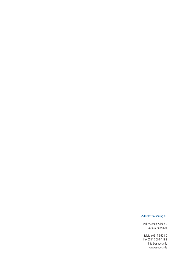#### E+S Rückversicherung AG

Karl-Wiechert-Allee 50 30625 Hannover

Telefon 0511 5604-0 Fax 0511 5604-1188 info@es-rueck.de www.es-rueck.de